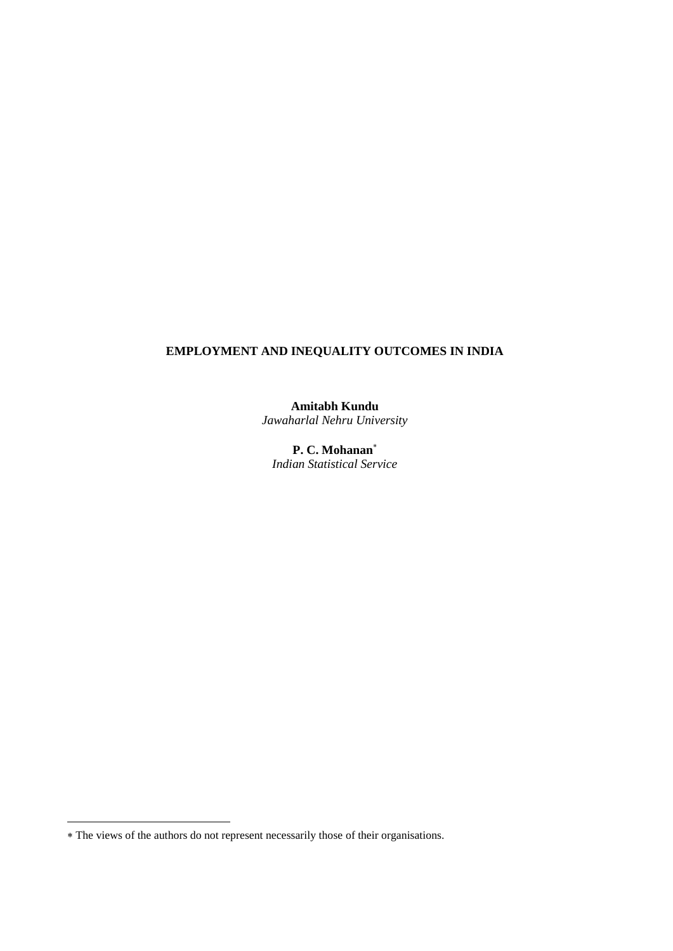# **EMPLOYMENT AND INEQUALITY OUTCOMES IN INDIA**

**Amitabh Kundu** *Jawaharlal Nehru University*

**P. C. Mohanan** *Indian Statistical Service*

The views of the authors do not represent necessarily those of their organisations.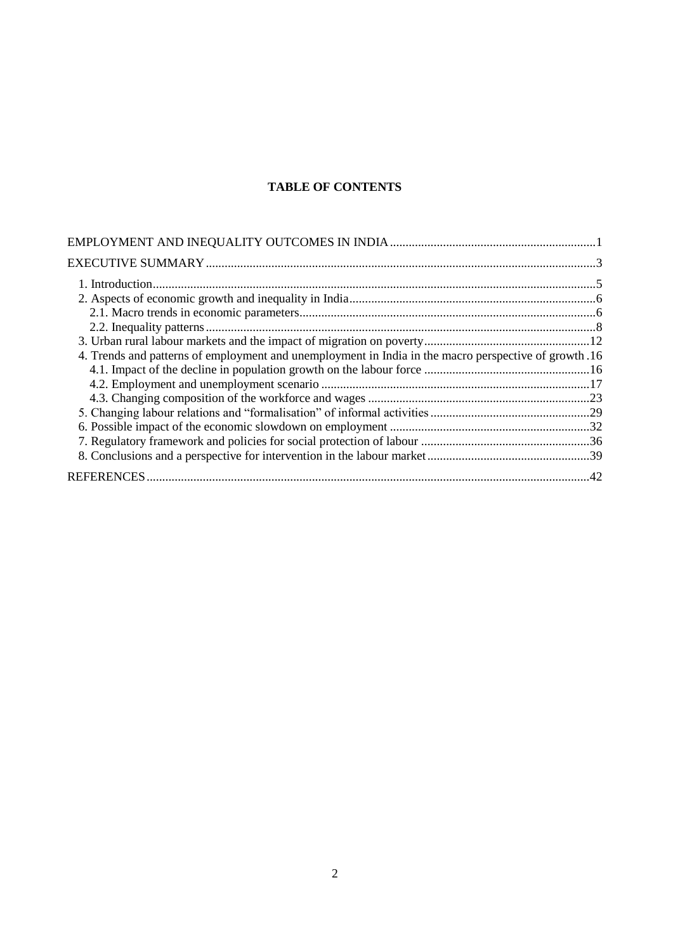# **TABLE OF CONTENTS**

| 4. Trends and patterns of employment and unemployment in India in the macro perspective of growth .16 |  |
|-------------------------------------------------------------------------------------------------------|--|
|                                                                                                       |  |
|                                                                                                       |  |
|                                                                                                       |  |
|                                                                                                       |  |
|                                                                                                       |  |
|                                                                                                       |  |
|                                                                                                       |  |
|                                                                                                       |  |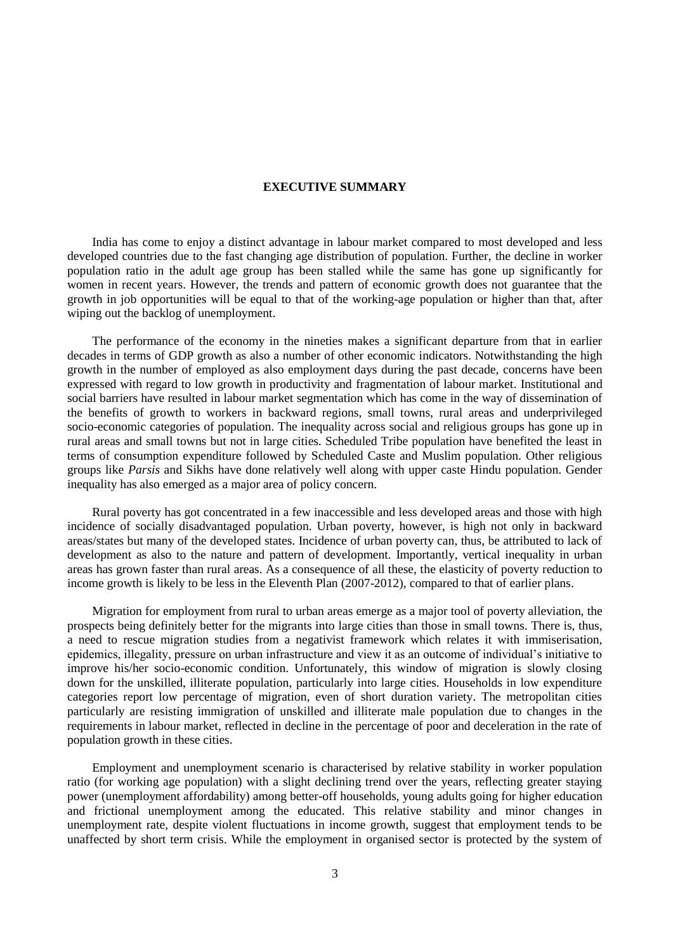## **EXECUTIVE SUMMARY**

India has come to enjoy a distinct advantage in labour market compared to most developed and less developed countries due to the fast changing age distribution of population. Further, the decline in worker population ratio in the adult age group has been stalled while the same has gone up significantly for women in recent years. However, the trends and pattern of economic growth does not guarantee that the growth in job opportunities will be equal to that of the working-age population or higher than that, after wiping out the backlog of unemployment.

The performance of the economy in the nineties makes a significant departure from that in earlier decades in terms of GDP growth as also a number of other economic indicators. Notwithstanding the high growth in the number of employed as also employment days during the past decade, concerns have been expressed with regard to low growth in productivity and fragmentation of labour market. Institutional and social barriers have resulted in labour market segmentation which has come in the way of dissemination of the benefits of growth to workers in backward regions, small towns, rural areas and underprivileged socio-economic categories of population. The inequality across social and religious groups has gone up in rural areas and small towns but not in large cities. Scheduled Tribe population have benefited the least in terms of consumption expenditure followed by Scheduled Caste and Muslim population. Other religious groups like *Parsis* and Sikhs have done relatively well along with upper caste Hindu population. Gender inequality has also emerged as a major area of policy concern.

Rural poverty has got concentrated in a few inaccessible and less developed areas and those with high incidence of socially disadvantaged population. Urban poverty, however, is high not only in backward areas/states but many of the developed states. Incidence of urban poverty can, thus, be attributed to lack of development as also to the nature and pattern of development. Importantly, vertical inequality in urban areas has grown faster than rural areas. As a consequence of all these, the elasticity of poverty reduction to income growth is likely to be less in the Eleventh Plan (2007-2012), compared to that of earlier plans.

Migration for employment from rural to urban areas emerge as a major tool of poverty alleviation, the prospects being definitely better for the migrants into large cities than those in small towns. There is, thus, a need to rescue migration studies from a negativist framework which relates it with immiserisation, epidemics, illegality, pressure on urban infrastructure and view it as an outcome of individual"s initiative to improve his/her socio-economic condition. Unfortunately, this window of migration is slowly closing down for the unskilled, illiterate population, particularly into large cities. Households in low expenditure categories report low percentage of migration, even of short duration variety. The metropolitan cities particularly are resisting immigration of unskilled and illiterate male population due to changes in the requirements in labour market, reflected in decline in the percentage of poor and deceleration in the rate of population growth in these cities.

Employment and unemployment scenario is characterised by relative stability in worker population ratio (for working age population) with a slight declining trend over the years, reflecting greater staying power (unemployment affordability) among better-off households, young adults going for higher education and frictional unemployment among the educated. This relative stability and minor changes in unemployment rate, despite violent fluctuations in income growth, suggest that employment tends to be unaffected by short term crisis. While the employment in organised sector is protected by the system of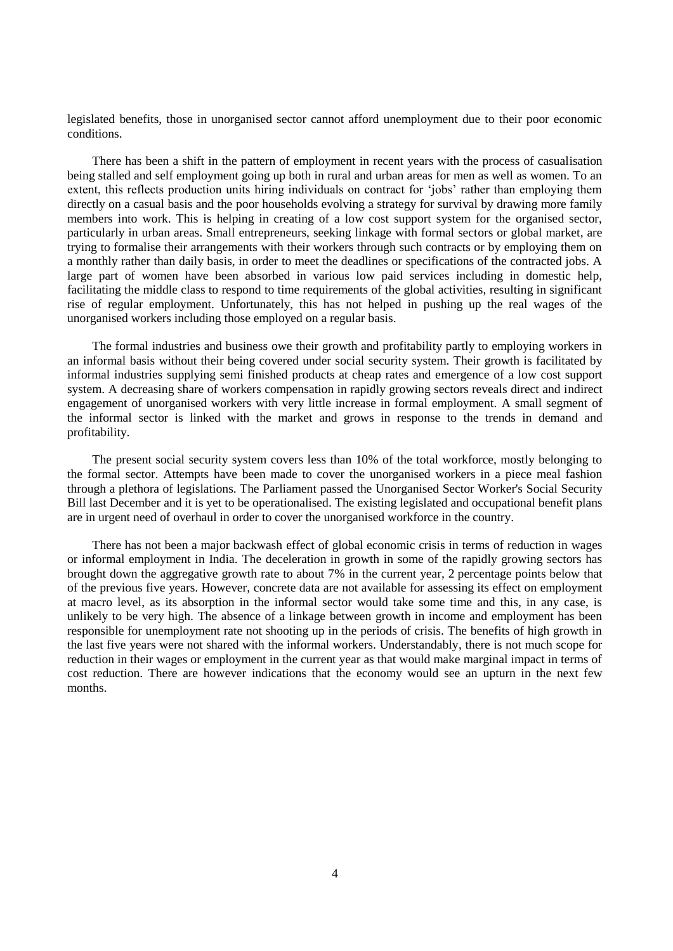legislated benefits, those in unorganised sector cannot afford unemployment due to their poor economic conditions.

There has been a shift in the pattern of employment in recent years with the process of casualisation being stalled and self employment going up both in rural and urban areas for men as well as women. To an extent, this reflects production units hiring individuals on contract for 'jobs' rather than employing them directly on a casual basis and the poor households evolving a strategy for survival by drawing more family members into work. This is helping in creating of a low cost support system for the organised sector, particularly in urban areas. Small entrepreneurs, seeking linkage with formal sectors or global market, are trying to formalise their arrangements with their workers through such contracts or by employing them on a monthly rather than daily basis, in order to meet the deadlines or specifications of the contracted jobs. A large part of women have been absorbed in various low paid services including in domestic help, facilitating the middle class to respond to time requirements of the global activities, resulting in significant rise of regular employment. Unfortunately, this has not helped in pushing up the real wages of the unorganised workers including those employed on a regular basis.

The formal industries and business owe their growth and profitability partly to employing workers in an informal basis without their being covered under social security system. Their growth is facilitated by informal industries supplying semi finished products at cheap rates and emergence of a low cost support system. A decreasing share of workers compensation in rapidly growing sectors reveals direct and indirect engagement of unorganised workers with very little increase in formal employment. A small segment of the informal sector is linked with the market and grows in response to the trends in demand and profitability.

The present social security system covers less than 10% of the total workforce, mostly belonging to the formal sector. Attempts have been made to cover the unorganised workers in a piece meal fashion through a plethora of legislations. The Parliament passed the Unorganised Sector Worker's Social Security Bill last December and it is yet to be operationalised. The existing legislated and occupational benefit plans are in urgent need of overhaul in order to cover the unorganised workforce in the country.

There has not been a major backwash effect of global economic crisis in terms of reduction in wages or informal employment in India. The deceleration in growth in some of the rapidly growing sectors has brought down the aggregative growth rate to about 7% in the current year, 2 percentage points below that of the previous five years. However, concrete data are not available for assessing its effect on employment at macro level, as its absorption in the informal sector would take some time and this, in any case, is unlikely to be very high. The absence of a linkage between growth in income and employment has been responsible for unemployment rate not shooting up in the periods of crisis. The benefits of high growth in the last five years were not shared with the informal workers. Understandably, there is not much scope for reduction in their wages or employment in the current year as that would make marginal impact in terms of cost reduction. There are however indications that the economy would see an upturn in the next few months.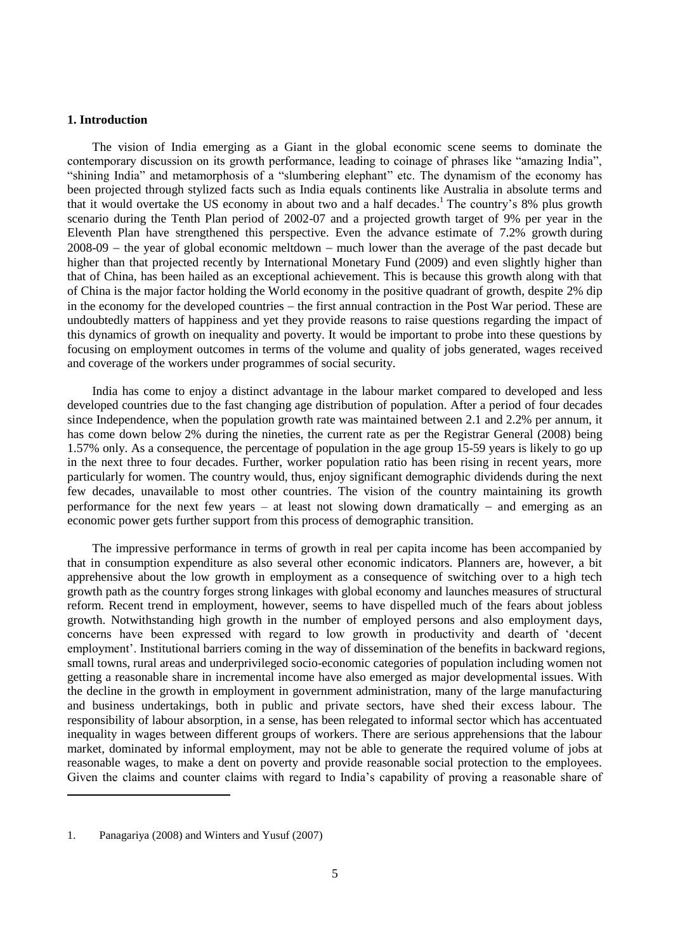### **1. Introduction**

The vision of India emerging as a Giant in the global economic scene seems to dominate the contemporary discussion on its growth performance, leading to coinage of phrases like "amazing India", "shining India" and metamorphosis of a "slumbering elephant" etc. The dynamism of the economy has been projected through stylized facts such as India equals continents like Australia in absolute terms and that it would overtake the US economy in about two and a half decades.<sup>1</sup> The country's 8% plus growth scenario during the Tenth Plan period of 2002-07 and a projected growth target of 9% per year in the Eleventh Plan have strengthened this perspective. Even the advance estimate of 7.2% growth during  $2008-09$  – the year of global economic meltdown – much lower than the average of the past decade but higher than that projected recently by International Monetary Fund (2009) and even slightly higher than that of China, has been hailed as an exceptional achievement. This is because this growth along with that of China is the major factor holding the World economy in the positive quadrant of growth, despite 2% dip in the economy for the developed countries – the first annual contraction in the Post War period. These are undoubtedly matters of happiness and yet they provide reasons to raise questions regarding the impact of this dynamics of growth on inequality and poverty. It would be important to probe into these questions by focusing on employment outcomes in terms of the volume and quality of jobs generated, wages received and coverage of the workers under programmes of social security.

India has come to enjoy a distinct advantage in the labour market compared to developed and less developed countries due to the fast changing age distribution of population. After a period of four decades since Independence, when the population growth rate was maintained between 2.1 and 2.2% per annum, it has come down below 2% during the nineties, the current rate as per the Registrar General (2008) being 1.57% only. As a consequence, the percentage of population in the age group 15-59 years is likely to go up in the next three to four decades. Further, worker population ratio has been rising in recent years, more particularly for women. The country would, thus, enjoy significant demographic dividends during the next few decades, unavailable to most other countries. The vision of the country maintaining its growth performance for the next few years – at least not slowing down dramatically – and emerging as an economic power gets further support from this process of demographic transition.

The impressive performance in terms of growth in real per capita income has been accompanied by that in consumption expenditure as also several other economic indicators. Planners are, however, a bit apprehensive about the low growth in employment as a consequence of switching over to a high tech growth path as the country forges strong linkages with global economy and launches measures of structural reform. Recent trend in employment, however, seems to have dispelled much of the fears about jobless growth. Notwithstanding high growth in the number of employed persons and also employment days, concerns have been expressed with regard to low growth in productivity and dearth of "decent employment'. Institutional barriers coming in the way of dissemination of the benefits in backward regions, small towns, rural areas and underprivileged socio-economic categories of population including women not getting a reasonable share in incremental income have also emerged as major developmental issues. With the decline in the growth in employment in government administration, many of the large manufacturing and business undertakings, both in public and private sectors, have shed their excess labour. The responsibility of labour absorption, in a sense, has been relegated to informal sector which has accentuated inequality in wages between different groups of workers. There are serious apprehensions that the labour market, dominated by informal employment, may not be able to generate the required volume of jobs at reasonable wages, to make a dent on poverty and provide reasonable social protection to the employees. Given the claims and counter claims with regard to India"s capability of proving a reasonable share of

<sup>1.</sup> Panagariya (2008) and Winters and Yusuf (2007)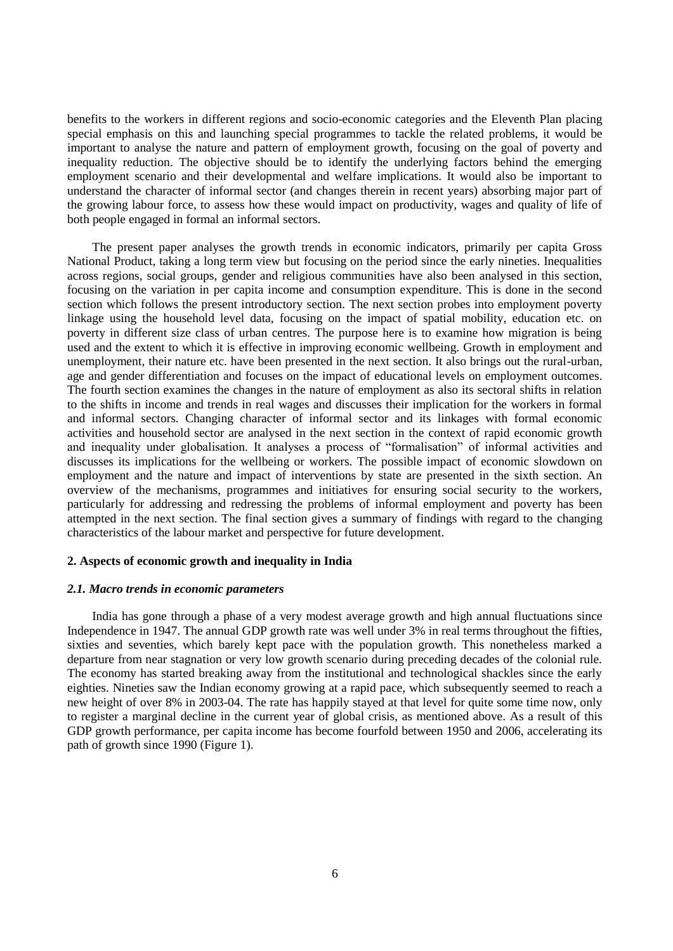benefits to the workers in different regions and socio-economic categories and the Eleventh Plan placing special emphasis on this and launching special programmes to tackle the related problems, it would be important to analyse the nature and pattern of employment growth, focusing on the goal of poverty and inequality reduction. The objective should be to identify the underlying factors behind the emerging employment scenario and their developmental and welfare implications. It would also be important to understand the character of informal sector (and changes therein in recent years) absorbing major part of the growing labour force, to assess how these would impact on productivity, wages and quality of life of both people engaged in formal an informal sectors.

The present paper analyses the growth trends in economic indicators, primarily per capita Gross National Product, taking a long term view but focusing on the period since the early nineties. Inequalities across regions, social groups, gender and religious communities have also been analysed in this section, focusing on the variation in per capita income and consumption expenditure. This is done in the second section which follows the present introductory section. The next section probes into employment poverty linkage using the household level data, focusing on the impact of spatial mobility, education etc. on poverty in different size class of urban centres. The purpose here is to examine how migration is being used and the extent to which it is effective in improving economic wellbeing. Growth in employment and unemployment, their nature etc. have been presented in the next section. It also brings out the rural-urban, age and gender differentiation and focuses on the impact of educational levels on employment outcomes. The fourth section examines the changes in the nature of employment as also its sectoral shifts in relation to the shifts in income and trends in real wages and discusses their implication for the workers in formal and informal sectors. Changing character of informal sector and its linkages with formal economic activities and household sector are analysed in the next section in the context of rapid economic growth and inequality under globalisation. It analyses a process of "formalisation" of informal activities and discusses its implications for the wellbeing or workers. The possible impact of economic slowdown on employment and the nature and impact of interventions by state are presented in the sixth section. An overview of the mechanisms, programmes and initiatives for ensuring social security to the workers, particularly for addressing and redressing the problems of informal employment and poverty has been attempted in the next section. The final section gives a summary of findings with regard to the changing characteristics of the labour market and perspective for future development.

### **2. Aspects of economic growth and inequality in India**

#### *2.1. Macro trends in economic parameters*

India has gone through a phase of a very modest average growth and high annual fluctuations since Independence in 1947. The annual GDP growth rate was well under 3% in real terms throughout the fifties, sixties and seventies, which barely kept pace with the population growth. This nonetheless marked a departure from near stagnation or very low growth scenario during preceding decades of the colonial rule. The economy has started breaking away from the institutional and technological shackles since the early eighties. Nineties saw the Indian economy growing at a rapid pace, which subsequently seemed to reach a new height of over 8% in 2003-04. The rate has happily stayed at that level for quite some time now, only to register a marginal decline in the current year of global crisis, as mentioned above. As a result of this GDP growth performance, per capita income has become fourfold between 1950 and 2006, accelerating its path of growth since 1990 (Figure 1).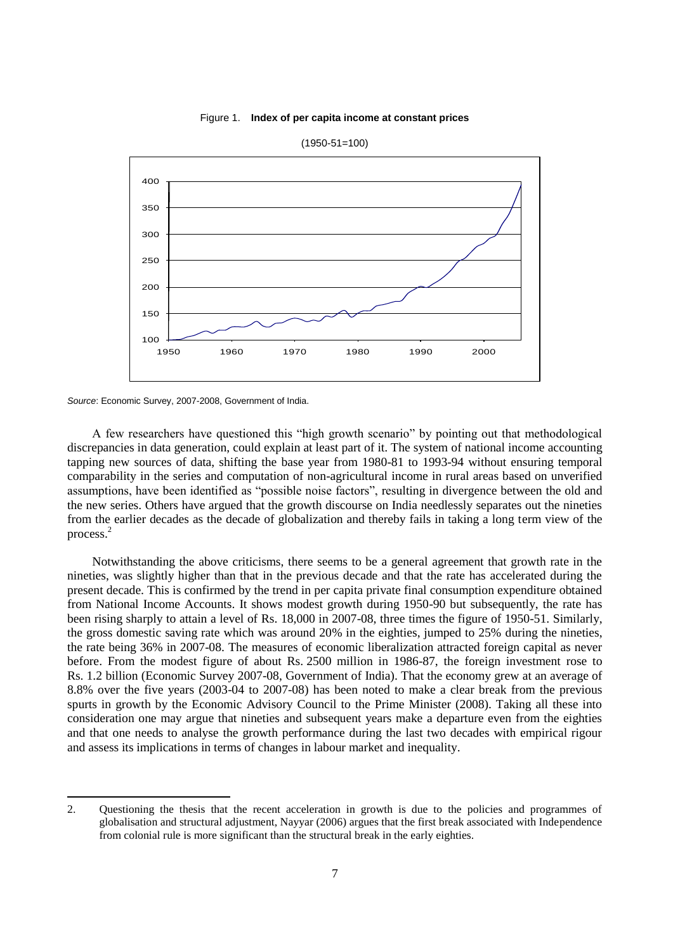### Figure 1. **Index of per capita income at constant prices**



(1950-51=100)

l

A few researchers have questioned this "high growth scenario" by pointing out that methodological discrepancies in data generation, could explain at least part of it. The system of national income accounting tapping new sources of data, shifting the base year from 1980-81 to 1993-94 without ensuring temporal comparability in the series and computation of non-agricultural income in rural areas based on unverified assumptions, have been identified as "possible noise factors", resulting in divergence between the old and the new series. Others have argued that the growth discourse on India needlessly separates out the nineties from the earlier decades as the decade of globalization and thereby fails in taking a long term view of the process. 2

Notwithstanding the above criticisms, there seems to be a general agreement that growth rate in the nineties, was slightly higher than that in the previous decade and that the rate has accelerated during the present decade. This is confirmed by the trend in per capita private final consumption expenditure obtained from National Income Accounts. It shows modest growth during 1950-90 but subsequently, the rate has been rising sharply to attain a level of Rs. 18,000 in 2007-08, three times the figure of 1950-51. Similarly, the gross domestic saving rate which was around 20% in the eighties, jumped to 25% during the nineties, the rate being 36% in 2007-08. The measures of economic liberalization attracted foreign capital as never before. From the modest figure of about Rs. 2500 million in 1986-87, the foreign investment rose to Rs. 1.2 billion (Economic Survey 2007-08, Government of India). That the economy grew at an average of 8.8% over the five years (2003-04 to 2007-08) has been noted to make a clear break from the previous spurts in growth by the Economic Advisory Council to the Prime Minister (2008). Taking all these into consideration one may argue that nineties and subsequent years make a departure even from the eighties and that one needs to analyse the growth performance during the last two decades with empirical rigour and assess its implications in terms of changes in labour market and inequality.

*Source*: Economic Survey, 2007-2008, Government of India.

<sup>2.</sup> Questioning the thesis that the recent acceleration in growth is due to the policies and programmes of globalisation and structural adjustment, Nayyar (2006) argues that the first break associated with Independence from colonial rule is more significant than the structural break in the early eighties.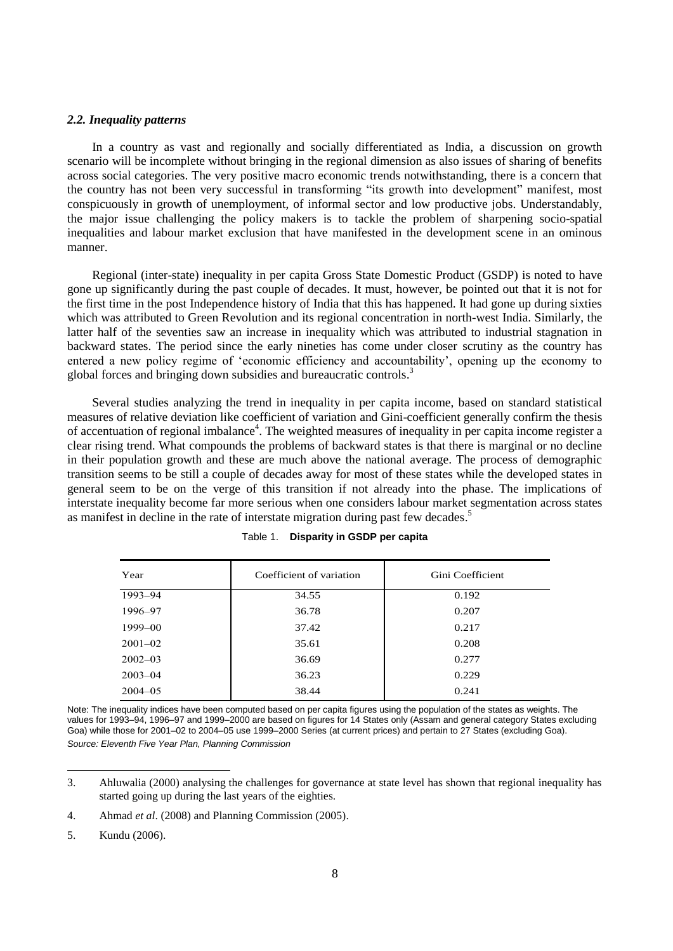### *2.2. Inequality patterns*

In a country as vast and regionally and socially differentiated as India, a discussion on growth scenario will be incomplete without bringing in the regional dimension as also issues of sharing of benefits across social categories. The very positive macro economic trends notwithstanding, there is a concern that the country has not been very successful in transforming "its growth into development" manifest, most conspicuously in growth of unemployment, of informal sector and low productive jobs. Understandably, the major issue challenging the policy makers is to tackle the problem of sharpening socio-spatial inequalities and labour market exclusion that have manifested in the development scene in an ominous manner.

Regional (inter-state) inequality in per capita Gross State Domestic Product (GSDP) is noted to have gone up significantly during the past couple of decades. It must, however, be pointed out that it is not for the first time in the post Independence history of India that this has happened. It had gone up during sixties which was attributed to Green Revolution and its regional concentration in north-west India. Similarly, the latter half of the seventies saw an increase in inequality which was attributed to industrial stagnation in backward states. The period since the early nineties has come under closer scrutiny as the country has entered a new policy regime of "economic efficiency and accountability", opening up the economy to global forces and bringing down subsidies and bureaucratic controls. 3

Several studies analyzing the trend in inequality in per capita income, based on standard statistical measures of relative deviation like coefficient of variation and Gini-coefficient generally confirm the thesis of accentuation of regional imbalance<sup>4</sup>. The weighted measures of inequality in per capita income register a clear rising trend. What compounds the problems of backward states is that there is marginal or no decline in their population growth and these are much above the national average. The process of demographic transition seems to be still a couple of decades away for most of these states while the developed states in general seem to be on the verge of this transition if not already into the phase. The implications of interstate inequality become far more serious when one considers labour market segmentation across states as manifest in decline in the rate of interstate migration during past few decades.<sup>5</sup>

| Year        | Coefficient of variation | Gini Coefficient |
|-------------|--------------------------|------------------|
| 1993-94     | 34.55                    | 0.192            |
| 1996-97     | 36.78                    | 0.207            |
| $1999 - 00$ | 37.42                    | 0.217            |
| $2001 - 02$ | 35.61                    | 0.208            |
| $2002 - 03$ | 36.69                    | 0.277            |
| $2003 - 04$ | 36.23                    | 0.229            |
| $2004 - 05$ | 38.44                    | 0.241            |

|  |  | Table 1. Disparity in GSDP per capita |  |
|--|--|---------------------------------------|--|
|--|--|---------------------------------------|--|

Note: The inequality indices have been computed based on per capita figures using the population of the states as weights. The values for 1993–94, 1996–97 and 1999–2000 are based on figures for 14 States only (Assam and general category States excluding Goa) while those for 2001–02 to 2004–05 use 1999–2000 Series (at current prices) and pertain to 27 States (excluding Goa). *Source: Eleventh Five Year Plan, Planning Commission* 

<sup>3.</sup> Ahluwalia (2000) analysing the challenges for governance at state level has shown that regional inequality has started going up during the last years of the eighties.

<sup>4.</sup> Ahmad *et al*. (2008) and Planning Commission (2005).

<sup>5.</sup> Kundu (2006).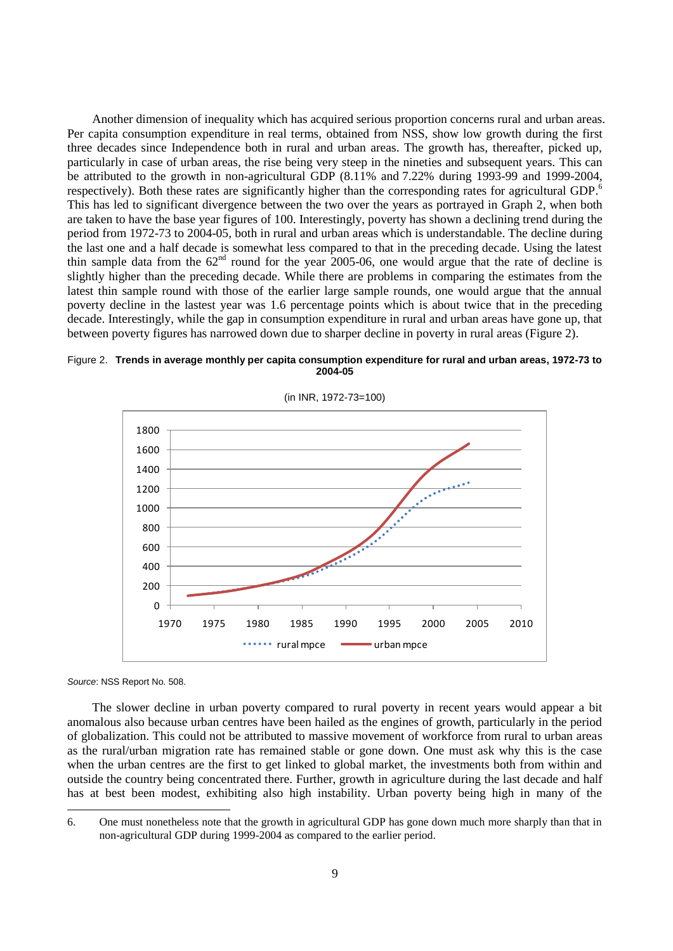Another dimension of inequality which has acquired serious proportion concerns rural and urban areas. Per capita consumption expenditure in real terms, obtained from NSS, show low growth during the first three decades since Independence both in rural and urban areas. The growth has, thereafter, picked up, particularly in case of urban areas, the rise being very steep in the nineties and subsequent years. This can be attributed to the growth in non-agricultural GDP (8.11% and 7.22% during 1993-99 and 1999-2004, respectively). Both these rates are significantly higher than the corresponding rates for agricultural GDP.<sup>6</sup> This has led to significant divergence between the two over the years as portrayed in Graph 2, when both are taken to have the base year figures of 100. Interestingly, poverty has shown a declining trend during the period from 1972-73 to 2004-05, both in rural and urban areas which is understandable. The decline during the last one and a half decade is somewhat less compared to that in the preceding decade. Using the latest thin sample data from the  $62<sup>nd</sup>$  round for the year 2005-06, one would argue that the rate of decline is slightly higher than the preceding decade. While there are problems in comparing the estimates from the latest thin sample round with those of the earlier large sample rounds, one would argue that the annual poverty decline in the lastest year was 1.6 percentage points which is about twice that in the preceding decade. Interestingly, while the gap in consumption expenditure in rural and urban areas have gone up, that between poverty figures has narrowed down due to sharper decline in poverty in rural areas (Figure 2).





(in INR, 1972-73=100)

*Source*: NSS Report No. 508.

l

The slower decline in urban poverty compared to rural poverty in recent years would appear a bit anomalous also because urban centres have been hailed as the engines of growth, particularly in the period of globalization. This could not be attributed to massive movement of workforce from rural to urban areas as the rural/urban migration rate has remained stable or gone down. One must ask why this is the case when the urban centres are the first to get linked to global market, the investments both from within and outside the country being concentrated there. Further, growth in agriculture during the last decade and half has at best been modest, exhibiting also high instability. Urban poverty being high in many of the

<sup>6.</sup> One must nonetheless note that the growth in agricultural GDP has gone down much more sharply than that in non-agricultural GDP during 1999-2004 as compared to the earlier period.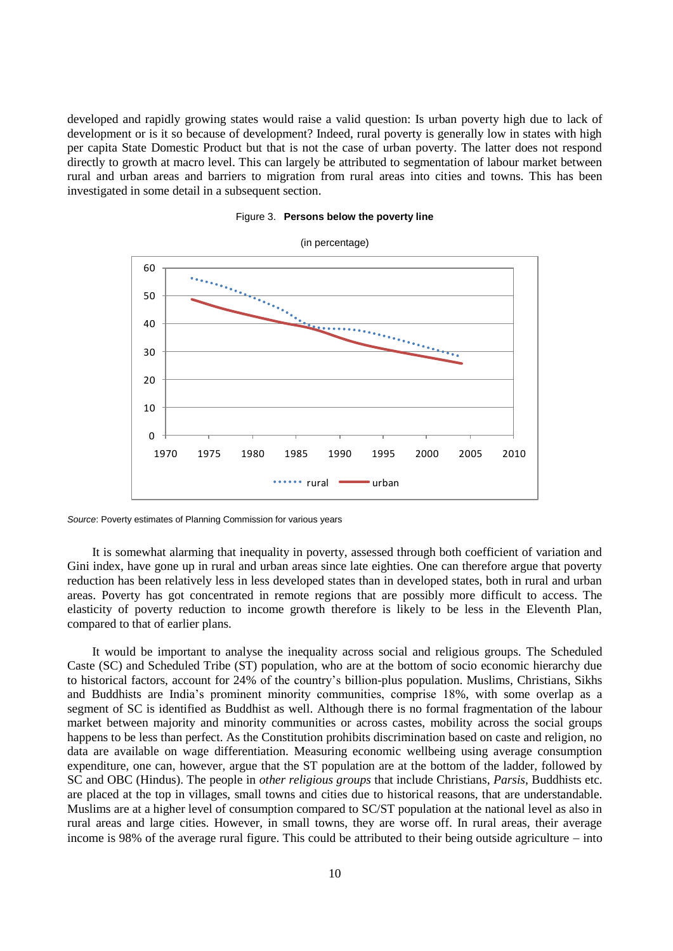developed and rapidly growing states would raise a valid question: Is urban poverty high due to lack of development or is it so because of development? Indeed, rural poverty is generally low in states with high per capita State Domestic Product but that is not the case of urban poverty. The latter does not respond directly to growth at macro level. This can largely be attributed to segmentation of labour market between rural and urban areas and barriers to migration from rural areas into cities and towns. This has been investigated in some detail in a subsequent section.



Figure 3. **Persons below the poverty line**

*Source*: Poverty estimates of Planning Commission for various years

It is somewhat alarming that inequality in poverty, assessed through both coefficient of variation and Gini index, have gone up in rural and urban areas since late eighties. One can therefore argue that poverty reduction has been relatively less in less developed states than in developed states, both in rural and urban areas. Poverty has got concentrated in remote regions that are possibly more difficult to access. The elasticity of poverty reduction to income growth therefore is likely to be less in the Eleventh Plan, compared to that of earlier plans.

It would be important to analyse the inequality across social and religious groups. The Scheduled Caste (SC) and Scheduled Tribe (ST) population, who are at the bottom of socio economic hierarchy due to historical factors, account for 24% of the country"s billion-plus population. Muslims, Christians, Sikhs and Buddhists are India"s prominent minority communities, comprise 18%, with some overlap as a segment of SC is identified as Buddhist as well. Although there is no formal fragmentation of the labour market between majority and minority communities or across castes, mobility across the social groups happens to be less than perfect. As the Constitution prohibits discrimination based on caste and religion, no data are available on wage differentiation. Measuring economic wellbeing using average consumption expenditure, one can, however, argue that the ST population are at the bottom of the ladder, followed by SC and OBC (Hindus). The people in *other religious groups* that include Christians, *Parsis*, Buddhists etc. are placed at the top in villages, small towns and cities due to historical reasons, that are understandable. Muslims are at a higher level of consumption compared to SC/ST population at the national level as also in rural areas and large cities. However, in small towns, they are worse off. In rural areas, their average income is 98% of the average rural figure. This could be attributed to their being outside agriculture  $-$  into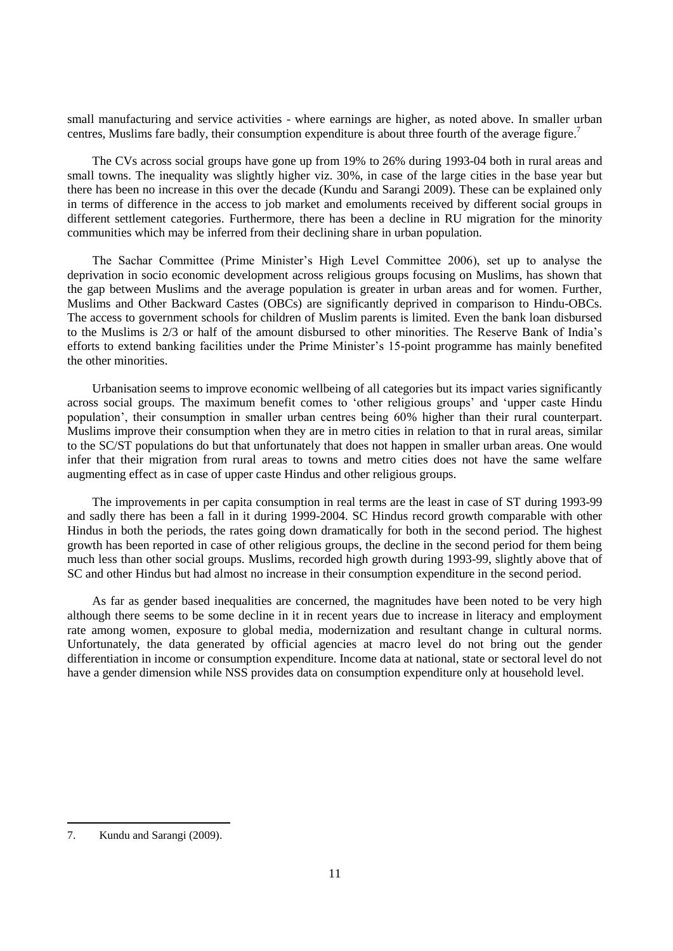small manufacturing and service activities - where earnings are higher, as noted above. In smaller urban centres, Muslims fare badly, their consumption expenditure is about three fourth of the average figure.<sup>7</sup>

The CVs across social groups have gone up from 19% to 26% during 1993-04 both in rural areas and small towns. The inequality was slightly higher viz. 30%, in case of the large cities in the base year but there has been no increase in this over the decade (Kundu and Sarangi 2009). These can be explained only in terms of difference in the access to job market and emoluments received by different social groups in different settlement categories. Furthermore, there has been a decline in RU migration for the minority communities which may be inferred from their declining share in urban population.

The Sachar Committee (Prime Minister's High Level Committee 2006), set up to analyse the deprivation in socio economic development across religious groups focusing on Muslims, has shown that the gap between Muslims and the average population is greater in urban areas and for women. Further, Muslims and Other Backward Castes (OBCs) are significantly deprived in comparison to Hindu-OBCs. The access to government schools for children of Muslim parents is limited. Even the bank loan disbursed to the Muslims is 2/3 or half of the amount disbursed to other minorities. The Reserve Bank of India"s efforts to extend banking facilities under the Prime Minister"s 15-point programme has mainly benefited the other minorities.

Urbanisation seems to improve economic wellbeing of all categories but its impact varies significantly across social groups. The maximum benefit comes to "other religious groups" and "upper caste Hindu population", their consumption in smaller urban centres being 60% higher than their rural counterpart. Muslims improve their consumption when they are in metro cities in relation to that in rural areas, similar to the SC/ST populations do but that unfortunately that does not happen in smaller urban areas. One would infer that their migration from rural areas to towns and metro cities does not have the same welfare augmenting effect as in case of upper caste Hindus and other religious groups.

The improvements in per capita consumption in real terms are the least in case of ST during 1993-99 and sadly there has been a fall in it during 1999-2004. SC Hindus record growth comparable with other Hindus in both the periods, the rates going down dramatically for both in the second period. The highest growth has been reported in case of other religious groups, the decline in the second period for them being much less than other social groups. Muslims, recorded high growth during 1993-99, slightly above that of SC and other Hindus but had almost no increase in their consumption expenditure in the second period.

As far as gender based inequalities are concerned, the magnitudes have been noted to be very high although there seems to be some decline in it in recent years due to increase in literacy and employment rate among women, exposure to global media, modernization and resultant change in cultural norms. Unfortunately, the data generated by official agencies at macro level do not bring out the gender differentiation in income or consumption expenditure. Income data at national, state or sectoral level do not have a gender dimension while NSS provides data on consumption expenditure only at household level.

<sup>7.</sup> Kundu and Sarangi (2009).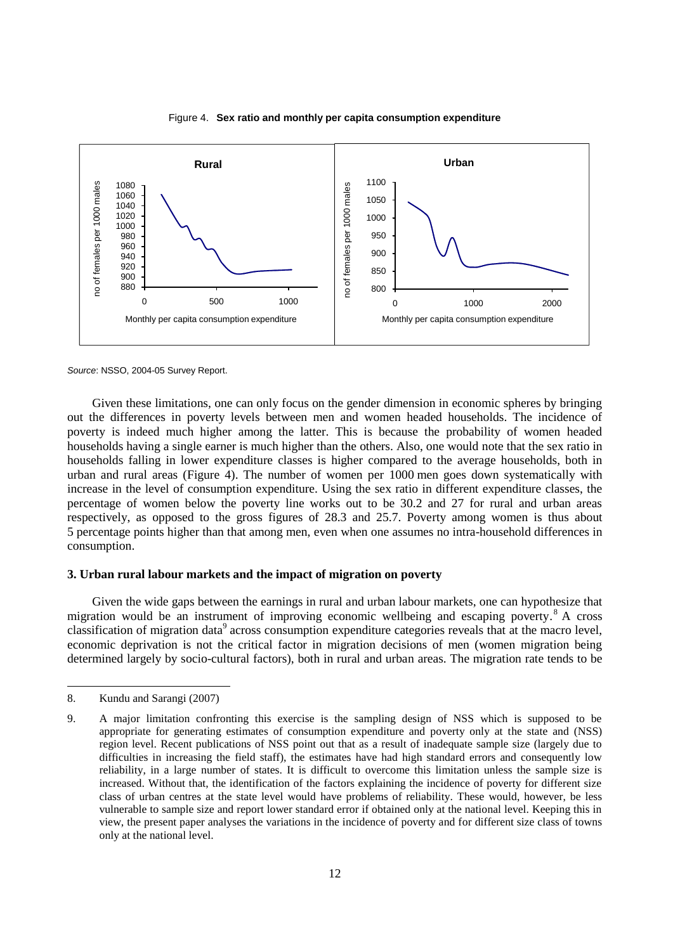

Figure 4. **Sex ratio and monthly per capita consumption expenditure**

*Source*: NSSO, 2004-05 Survey Report.

Given these limitations, one can only focus on the gender dimension in economic spheres by bringing out the differences in poverty levels between men and women headed households. The incidence of poverty is indeed much higher among the latter. This is because the probability of women headed households having a single earner is much higher than the others. Also, one would note that the sex ratio in households falling in lower expenditure classes is higher compared to the average households, both in urban and rural areas (Figure 4). The number of women per 1000 men goes down systematically with increase in the level of consumption expenditure. Using the sex ratio in different expenditure classes, the percentage of women below the poverty line works out to be 30.2 and 27 for rural and urban areas respectively, as opposed to the gross figures of 28.3 and 25.7. Poverty among women is thus about 5 percentage points higher than that among men, even when one assumes no intra-household differences in consumption.

# **3. Urban rural labour markets and the impact of migration on poverty**

Given the wide gaps between the earnings in rural and urban labour markets, one can hypothesize that migration would be an instrument of improving economic wellbeing and escaping poverty. <sup>8</sup> A cross classification of migration data<sup>9</sup> across consumption expenditure categories reveals that at the macro level, economic deprivation is not the critical factor in migration decisions of men (women migration being determined largely by socio-cultural factors), both in rural and urban areas. The migration rate tends to be

l

<sup>8.</sup> Kundu and Sarangi (2007)

<sup>9.</sup> A major limitation confronting this exercise is the sampling design of NSS which is supposed to be appropriate for generating estimates of consumption expenditure and poverty only at the state and (NSS) region level. Recent publications of NSS point out that as a result of inadequate sample size (largely due to difficulties in increasing the field staff), the estimates have had high standard errors and consequently low reliability, in a large number of states. It is difficult to overcome this limitation unless the sample size is increased. Without that, the identification of the factors explaining the incidence of poverty for different size class of urban centres at the state level would have problems of reliability. These would, however, be less vulnerable to sample size and report lower standard error if obtained only at the national level. Keeping this in view, the present paper analyses the variations in the incidence of poverty and for different size class of towns only at the national level.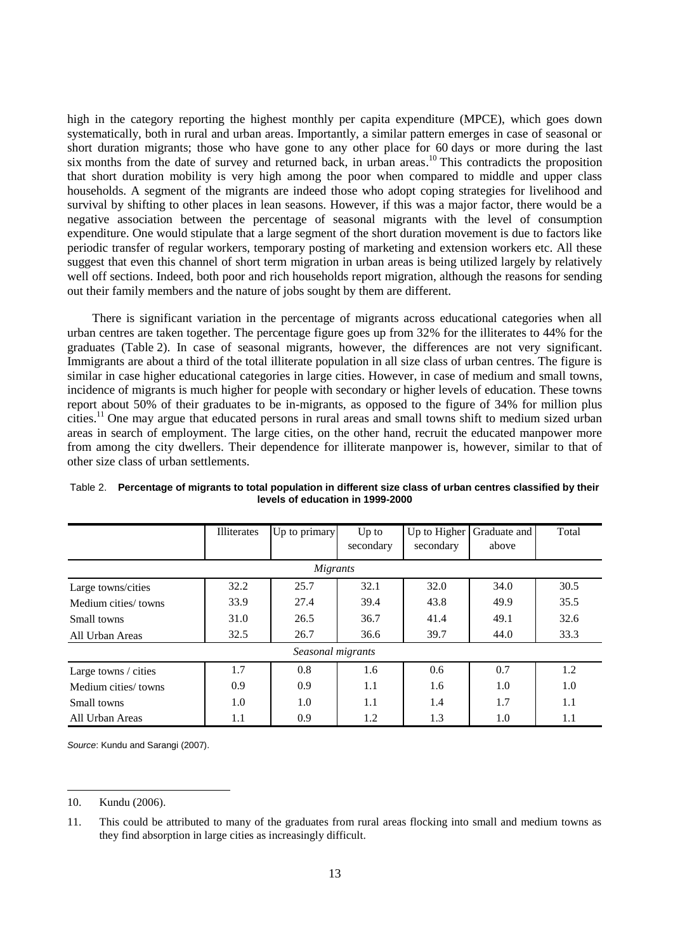high in the category reporting the highest monthly per capita expenditure (MPCE), which goes down systematically, both in rural and urban areas. Importantly, a similar pattern emerges in case of seasonal or short duration migrants; those who have gone to any other place for 60 days or more during the last six months from the date of survey and returned back, in urban areas.<sup>10</sup> This contradicts the proposition that short duration mobility is very high among the poor when compared to middle and upper class households. A segment of the migrants are indeed those who adopt coping strategies for livelihood and survival by shifting to other places in lean seasons. However, if this was a major factor, there would be a negative association between the percentage of seasonal migrants with the level of consumption expenditure. One would stipulate that a large segment of the short duration movement is due to factors like periodic transfer of regular workers, temporary posting of marketing and extension workers etc. All these suggest that even this channel of short term migration in urban areas is being utilized largely by relatively well off sections. Indeed, both poor and rich households report migration, although the reasons for sending out their family members and the nature of jobs sought by them are different.

There is significant variation in the percentage of migrants across educational categories when all urban centres are taken together. The percentage figure goes up from 32% for the illiterates to 44% for the graduates (Table 2). In case of seasonal migrants, however, the differences are not very significant. Immigrants are about a third of the total illiterate population in all size class of urban centres. The figure is similar in case higher educational categories in large cities. However, in case of medium and small towns, incidence of migrants is much higher for people with secondary or higher levels of education. These towns report about 50% of their graduates to be in-migrants, as opposed to the figure of 34% for million plus cities. <sup>11</sup> One may argue that educated persons in rural areas and small towns shift to medium sized urban areas in search of employment. The large cities, on the other hand, recruit the educated manpower more from among the city dwellers. Their dependence for illiterate manpower is, however, similar to that of other size class of urban settlements.

|                      | Illiterates | Up to primary     | $Up$ to<br>secondary | Up to Higher<br>secondary | Graduate and<br>above | Total |
|----------------------|-------------|-------------------|----------------------|---------------------------|-----------------------|-------|
|                      |             | Migrants          |                      |                           |                       |       |
| Large towns/cities   | 32.2        | 25.7              | 32.1                 | 32.0                      | 34.0                  | 30.5  |
| Medium cities/towns  | 33.9        | 27.4              | 39.4                 | 43.8                      | 49.9                  | 35.5  |
| Small towns          | 31.0        | 26.5              | 36.7                 | 41.4                      | 49.1                  | 32.6  |
| All Urban Areas      | 32.5        | 26.7              | 36.6                 | 39.7                      | 44.0                  | 33.3  |
|                      |             | Seasonal migrants |                      |                           |                       |       |
| Large towns / cities | 1.7         | 0.8               | 1.6                  | 0.6                       | 0.7                   | 1.2   |
| Medium cities/towns  | 0.9         | 0.9               | 1.1                  | 1.6                       | 1.0                   | 1.0   |
| Small towns          | 1.0         | 1.0               | 1.1                  | 1.4                       | 1.7                   | 1.1   |
| All Urban Areas      | $1.1\,$     | 0.9               | 1.2                  | 1.3                       | 1.0                   | 1.1   |

Table 2. **Percentage of migrants to total population in different size class of urban centres classified by their levels of education in 1999-2000**

*Source*: Kundu and Sarangi (2007).

l

<sup>10.</sup> Kundu (2006).

<sup>11.</sup> This could be attributed to many of the graduates from rural areas flocking into small and medium towns as they find absorption in large cities as increasingly difficult.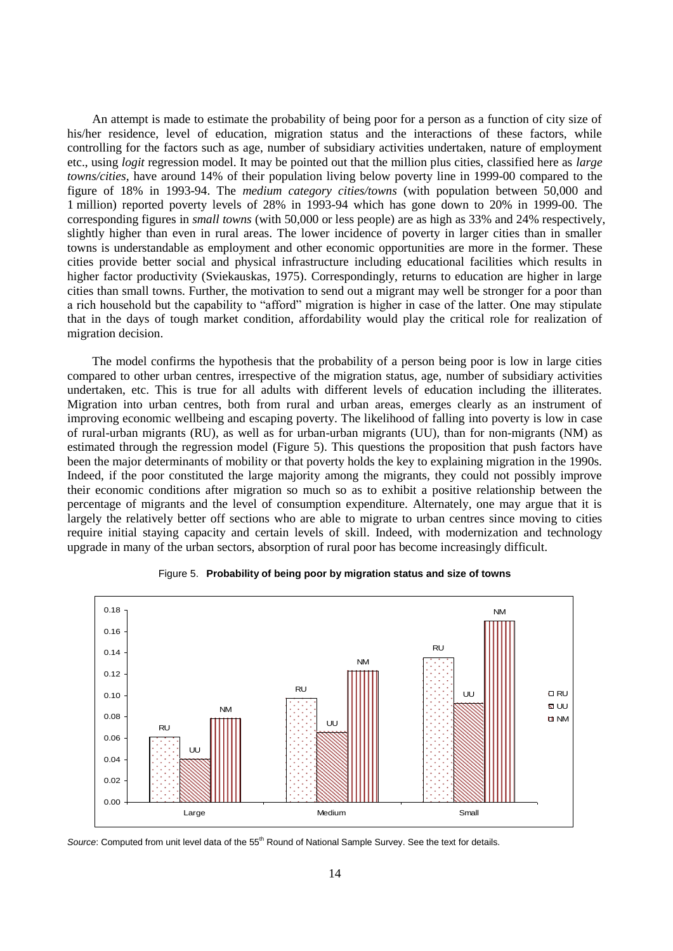An attempt is made to estimate the probability of being poor for a person as a function of city size of his/her residence, level of education, migration status and the interactions of these factors, while controlling for the factors such as age, number of subsidiary activities undertaken, nature of employment etc., using *logit* regression model. It may be pointed out that the million plus cities, classified here as *large towns/cities,* have around 14% of their population living below poverty line in 1999-00 compared to the figure of 18% in 1993-94. The *medium category cities/towns* (with population between 50,000 and 1 million) reported poverty levels of 28% in 1993-94 which has gone down to 20% in 1999-00. The corresponding figures in *small towns* (with 50,000 or less people) are as high as 33% and 24% respectively, slightly higher than even in rural areas. The lower incidence of poverty in larger cities than in smaller towns is understandable as employment and other economic opportunities are more in the former. These cities provide better social and physical infrastructure including educational facilities which results in higher factor productivity (Sviekauskas, 1975). Correspondingly, returns to education are higher in large cities than small towns. Further, the motivation to send out a migrant may well be stronger for a poor than a rich household but the capability to "afford" migration is higher in case of the latter. One may stipulate that in the days of tough market condition, affordability would play the critical role for realization of migration decision.

The model confirms the hypothesis that the probability of a person being poor is low in large cities compared to other urban centres, irrespective of the migration status, age, number of subsidiary activities undertaken, etc. This is true for all adults with different levels of education including the illiterates. Migration into urban centres, both from rural and urban areas, emerges clearly as an instrument of improving economic wellbeing and escaping poverty. The likelihood of falling into poverty is low in case of rural-urban migrants (RU), as well as for urban-urban migrants (UU), than for non-migrants (NM) as estimated through the regression model (Figure 5). This questions the proposition that push factors have been the major determinants of mobility or that poverty holds the key to explaining migration in the 1990s. Indeed, if the poor constituted the large majority among the migrants, they could not possibly improve their economic conditions after migration so much so as to exhibit a positive relationship between the percentage of migrants and the level of consumption expenditure. Alternately, one may argue that it is largely the relatively better off sections who are able to migrate to urban centres since moving to cities require initial staying capacity and certain levels of skill. Indeed, with modernization and technology upgrade in many of the urban sectors, absorption of rural poor has become increasingly difficult.





*Source*: Computed from unit level data of the 55<sup>th</sup> Round of National Sample Survey. See the text for details.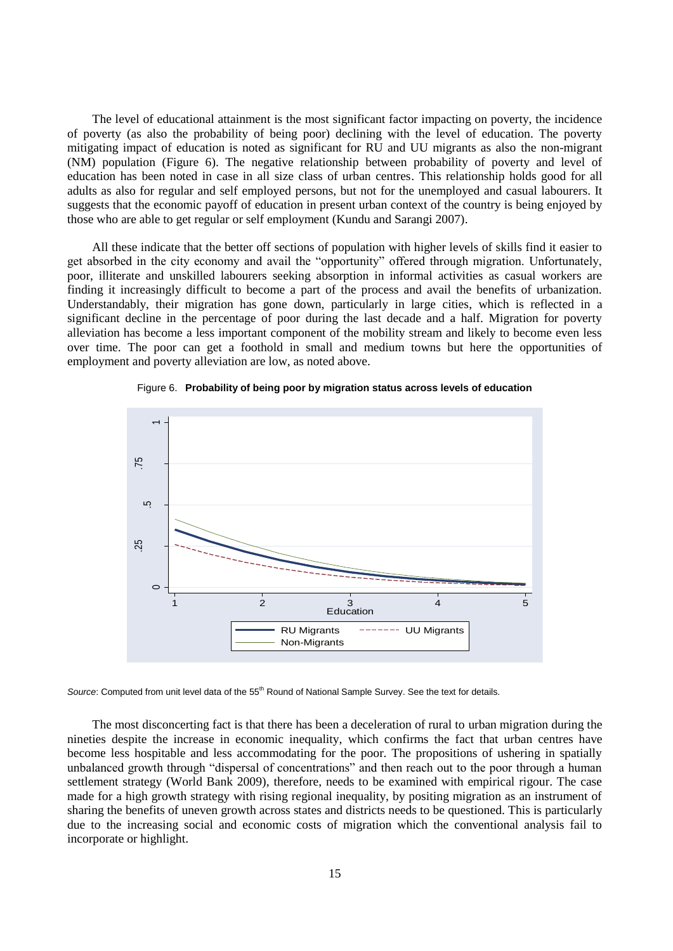The level of educational attainment is the most significant factor impacting on poverty, the incidence of poverty (as also the probability of being poor) declining with the level of education. The poverty mitigating impact of education is noted as significant for RU and UU migrants as also the non-migrant (NM) population (Figure 6). The negative relationship between probability of poverty and level of education has been noted in case in all size class of urban centres. This relationship holds good for all adults as also for regular and self employed persons, but not for the unemployed and casual labourers. It suggests that the economic payoff of education in present urban context of the country is being enjoyed by those who are able to get regular or self employment (Kundu and Sarangi 2007).

All these indicate that the better off sections of population with higher levels of skills find it easier to get absorbed in the city economy and avail the "opportunity" offered through migration. Unfortunately, poor, illiterate and unskilled labourers seeking absorption in informal activities as casual workers are finding it increasingly difficult to become a part of the process and avail the benefits of urbanization. Understandably, their migration has gone down, particularly in large cities, which is reflected in a significant decline in the percentage of poor during the last decade and a half. Migration for poverty alleviation has become a less important component of the mobility stream and likely to become even less over time. The poor can get a foothold in small and medium towns but here the opportunities of employment and poverty alleviation are low, as noted above.





*Source: Computed from unit level data of the 55<sup>th</sup> Round of National Sample Survey. See the text for details.* 

The most disconcerting fact is that there has been a deceleration of rural to urban migration during the nineties despite the increase in economic inequality, which confirms the fact that urban centres have become less hospitable and less accommodating for the poor. The propositions of ushering in spatially unbalanced growth through "dispersal of concentrations" and then reach out to the poor through a human settlement strategy (World Bank 2009), therefore, needs to be examined with empirical rigour. The case made for a high growth strategy with rising regional inequality, by positing migration as an instrument of sharing the benefits of uneven growth across states and districts needs to be questioned. This is particularly due to the increasing social and economic costs of migration which the conventional analysis fail to incorporate or highlight.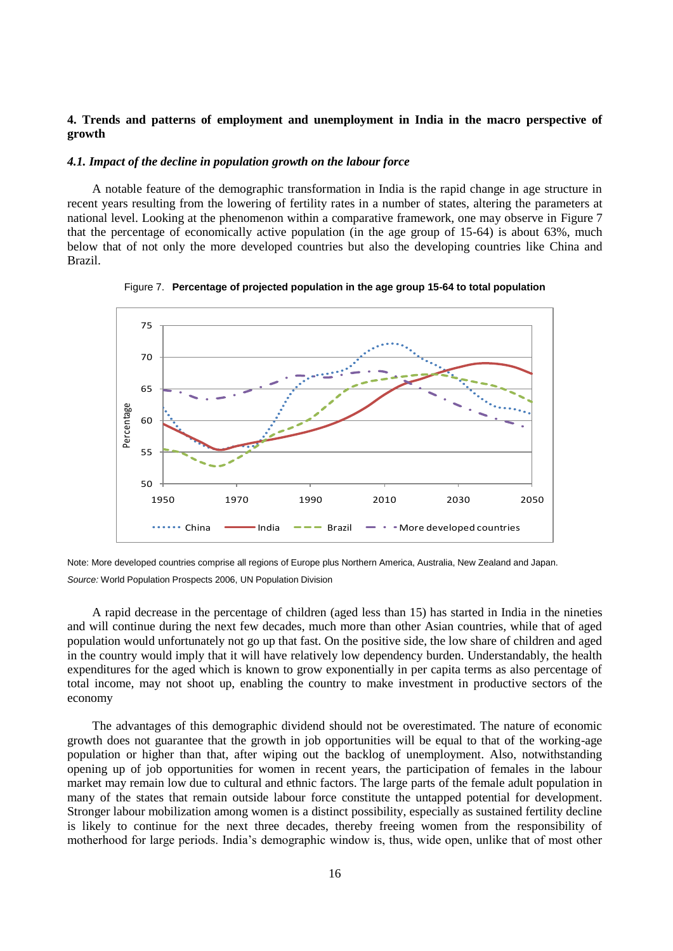# **4. Trends and patterns of employment and unemployment in India in the macro perspective of growth**

#### *4.1. Impact of the decline in population growth on the labour force*

A notable feature of the demographic transformation in India is the rapid change in age structure in recent years resulting from the lowering of fertility rates in a number of states, altering the parameters at national level. Looking at the phenomenon within a comparative framework, one may observe in Figure 7 that the percentage of economically active population (in the age group of 15-64) is about 63%, much below that of not only the more developed countries but also the developing countries like China and Brazil.



Figure 7. **Percentage of projected population in the age group 15-64 to total population**

Note: More developed countries comprise all regions of Europe plus Northern America, Australia, New Zealand and Japan. *Source:* World Population Prospects 2006, UN Population Division

A rapid decrease in the percentage of children (aged less than 15) has started in India in the nineties and will continue during the next few decades, much more than other Asian countries, while that of aged population would unfortunately not go up that fast. On the positive side, the low share of children and aged in the country would imply that it will have relatively low dependency burden. Understandably, the health expenditures for the aged which is known to grow exponentially in per capita terms as also percentage of total income, may not shoot up, enabling the country to make investment in productive sectors of the economy

The advantages of this demographic dividend should not be overestimated. The nature of economic growth does not guarantee that the growth in job opportunities will be equal to that of the working-age population or higher than that, after wiping out the backlog of unemployment. Also, notwithstanding opening up of job opportunities for women in recent years, the participation of females in the labour market may remain low due to cultural and ethnic factors. The large parts of the female adult population in many of the states that remain outside labour force constitute the untapped potential for development. Stronger labour mobilization among women is a distinct possibility, especially as sustained fertility decline is likely to continue for the next three decades, thereby freeing women from the responsibility of motherhood for large periods. India"s demographic window is, thus, wide open, unlike that of most other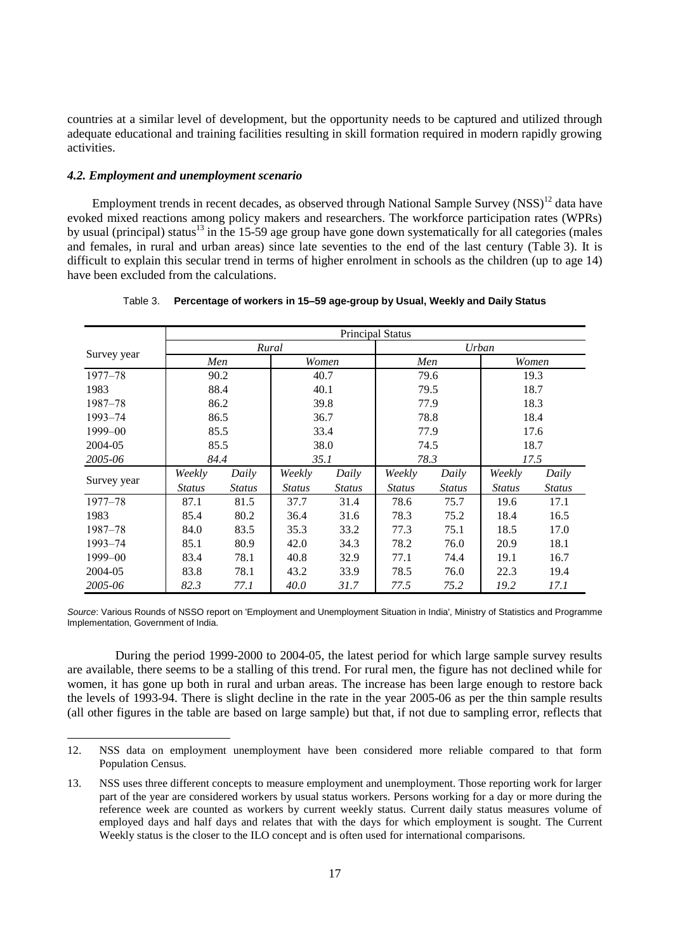countries at a similar level of development, but the opportunity needs to be captured and utilized through adequate educational and training facilities resulting in skill formation required in modern rapidly growing activities.

### *4.2. Employment and unemployment scenario*

 $\overline{a}$ 

Employment trends in recent decades, as observed through National Sample Survey  $(NSS)^{12}$  data have evoked mixed reactions among policy makers and researchers. The workforce participation rates (WPRs) by usual (principal) status<sup>13</sup> in the 15-59 age group have gone down systematically for all categories (males and females, in rural and urban areas) since late seventies to the end of the last century (Table 3). It is difficult to explain this secular trend in terms of higher enrolment in schools as the children (up to age 14) have been excluded from the calculations.

|             | <b>Principal Status</b> |               |               |               |               |               |               |               |
|-------------|-------------------------|---------------|---------------|---------------|---------------|---------------|---------------|---------------|
|             |                         |               | Rural         |               |               |               | Urban         |               |
| Survey year | Men                     |               |               | Women         |               | Men           |               | Women         |
| $1977 - 78$ |                         | 90.2          |               | 40.7          |               | 79.6          |               | 19.3          |
| 1983        |                         | 88.4          |               | 40.1          |               | 79.5          |               | 18.7          |
| 1987–78     |                         | 86.2          |               | 39.8          |               | 77.9          |               | 18.3          |
| 1993-74     |                         | 86.5          |               | 36.7          |               | 78.8          |               | 18.4          |
| 1999-00     |                         | 85.5          |               | 33.4          | 77.9          |               | 17.6          |               |
| 2004-05     |                         | 85.5          | 38.0          |               | 74.5          |               | 18.7          |               |
| 2005-06     | 84.4                    |               | 35.1          |               | 78.3          |               | 17.5          |               |
|             | Weekly                  | Daily         | Weekly        | Daily         | Weekly        | Daily         | Weekly        | Daily         |
| Survey year | <b>Status</b>           | <b>Status</b> | <b>Status</b> | <b>Status</b> | <b>Status</b> | <b>Status</b> | <b>Status</b> | <b>Status</b> |
| $1977 - 78$ | 87.1                    | 81.5          | 37.7          | 31.4          | 78.6          | 75.7          | 19.6          | 17.1          |
| 1983        | 85.4                    | 80.2          | 36.4          | 31.6          | 78.3          | 75.2          | 18.4          | 16.5          |
| 1987–78     | 84.0                    | 83.5          | 35.3          | 33.2          | 77.3          | 75.1          | 18.5          | 17.0          |
| 1993-74     | 85.1                    | 80.9          | 42.0          | 34.3          | 78.2          | 76.0          | 20.9          | 18.1          |
| 1999-00     | 83.4                    | 78.1          | 40.8          | 32.9          | 77.1          | 74.4          | 19.1          | 16.7          |
| 2004-05     | 83.8                    | 78.1          | 43.2          | 33.9          | 78.5          | 76.0          | 22.3          | 19.4          |
| 2005-06     | 82.3                    | 77.1          | 40.0          | 31.7          | 77.5          | 75.2          | 19.2          | 17.1          |

Table 3. **Percentage of workers in 15–59 age-group by Usual, Weekly and Daily Status**

*Source*: Various Rounds of NSSO report on 'Employment and Unemployment Situation in India', Ministry of Statistics and Programme Implementation, Government of India.

During the period 1999-2000 to 2004-05, the latest period for which large sample survey results are available, there seems to be a stalling of this trend. For rural men, the figure has not declined while for women, it has gone up both in rural and urban areas. The increase has been large enough to restore back the levels of 1993-94. There is slight decline in the rate in the year 2005-06 as per the thin sample results (all other figures in the table are based on large sample) but that, if not due to sampling error, reflects that

<sup>12.</sup> NSS data on employment unemployment have been considered more reliable compared to that form Population Census.

<sup>13.</sup> NSS uses three different concepts to measure employment and unemployment. Those reporting work for larger part of the year are considered workers by usual status workers. Persons working for a day or more during the reference week are counted as workers by current weekly status. Current daily status measures volume of employed days and half days and relates that with the days for which employment is sought. The Current Weekly status is the closer to the ILO concept and is often used for international comparisons.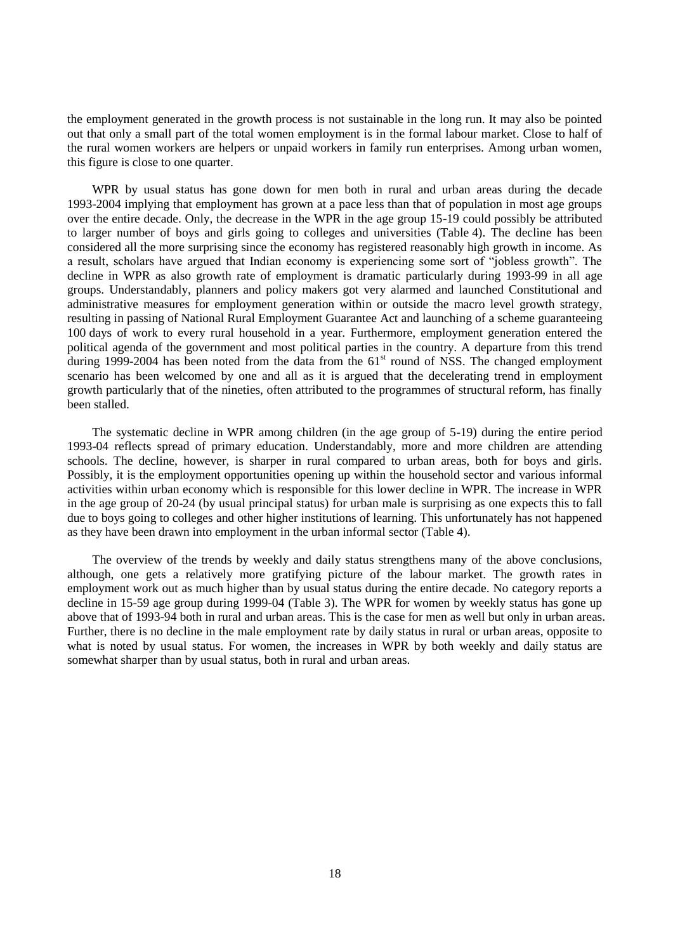the employment generated in the growth process is not sustainable in the long run. It may also be pointed out that only a small part of the total women employment is in the formal labour market. Close to half of the rural women workers are helpers or unpaid workers in family run enterprises. Among urban women, this figure is close to one quarter.

WPR by usual status has gone down for men both in rural and urban areas during the decade 1993-2004 implying that employment has grown at a pace less than that of population in most age groups over the entire decade. Only, the decrease in the WPR in the age group 15-19 could possibly be attributed to larger number of boys and girls going to colleges and universities (Table 4). The decline has been considered all the more surprising since the economy has registered reasonably high growth in income. As a result, scholars have argued that Indian economy is experiencing some sort of "jobless growth". The decline in WPR as also growth rate of employment is dramatic particularly during 1993-99 in all age groups. Understandably, planners and policy makers got very alarmed and launched Constitutional and administrative measures for employment generation within or outside the macro level growth strategy, resulting in passing of National Rural Employment Guarantee Act and launching of a scheme guaranteeing 100 days of work to every rural household in a year. Furthermore, employment generation entered the political agenda of the government and most political parties in the country. A departure from this trend during 1999-2004 has been noted from the data from the  $61<sup>st</sup>$  round of NSS. The changed employment scenario has been welcomed by one and all as it is argued that the decelerating trend in employment growth particularly that of the nineties, often attributed to the programmes of structural reform, has finally been stalled.

The systematic decline in WPR among children (in the age group of 5-19) during the entire period 1993-04 reflects spread of primary education. Understandably, more and more children are attending schools. The decline, however, is sharper in rural compared to urban areas, both for boys and girls. Possibly, it is the employment opportunities opening up within the household sector and various informal activities within urban economy which is responsible for this lower decline in WPR. The increase in WPR in the age group of 20-24 (by usual principal status) for urban male is surprising as one expects this to fall due to boys going to colleges and other higher institutions of learning. This unfortunately has not happened as they have been drawn into employment in the urban informal sector (Table 4).

The overview of the trends by weekly and daily status strengthens many of the above conclusions, although, one gets a relatively more gratifying picture of the labour market. The growth rates in employment work out as much higher than by usual status during the entire decade. No category reports a decline in 15-59 age group during 1999-04 (Table 3). The WPR for women by weekly status has gone up above that of 1993-94 both in rural and urban areas. This is the case for men as well but only in urban areas. Further, there is no decline in the male employment rate by daily status in rural or urban areas, opposite to what is noted by usual status. For women, the increases in WPR by both weekly and daily status are somewhat sharper than by usual status, both in rural and urban areas.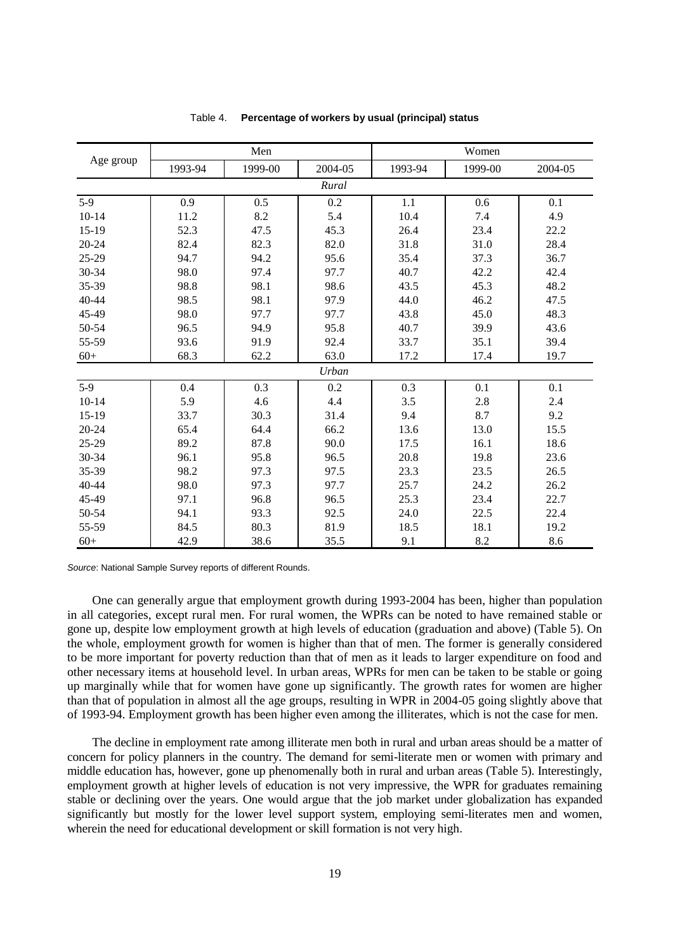|           |         | Men     |         | Women   |         |         |
|-----------|---------|---------|---------|---------|---------|---------|
| Age group | 1993-94 | 1999-00 | 2004-05 | 1993-94 | 1999-00 | 2004-05 |
|           |         |         | Rural   |         |         |         |
| $5-9$     | 0.9     | 0.5     | 0.2     | 1.1     | 0.6     | 0.1     |
| $10 - 14$ | 11.2    | 8.2     | 5.4     | 10.4    | 7.4     | 4.9     |
| $15-19$   | 52.3    | 47.5    | 45.3    | 26.4    | 23.4    | 22.2    |
| $20 - 24$ | 82.4    | 82.3    | 82.0    | 31.8    | 31.0    | 28.4    |
| 25-29     | 94.7    | 94.2    | 95.6    | 35.4    | 37.3    | 36.7    |
| 30-34     | 98.0    | 97.4    | 97.7    | 40.7    | 42.2    | 42.4    |
| 35-39     | 98.8    | 98.1    | 98.6    | 43.5    | 45.3    | 48.2    |
| 40-44     | 98.5    | 98.1    | 97.9    | 44.0    | 46.2    | 47.5    |
| 45-49     | 98.0    | 97.7    | 97.7    | 43.8    | 45.0    | 48.3    |
| 50-54     | 96.5    | 94.9    | 95.8    | 40.7    | 39.9    | 43.6    |
| 55-59     | 93.6    | 91.9    | 92.4    | 33.7    | 35.1    | 39.4    |
| $60+$     | 68.3    | 62.2    | 63.0    | 17.2    | 17.4    | 19.7    |
|           |         |         | Urban   |         |         |         |
| $5-9$     | 0.4     | 0.3     | 0.2     | 0.3     | 0.1     | 0.1     |
| $10 - 14$ | 5.9     | 4.6     | 4.4     | 3.5     | 2.8     | 2.4     |
| 15-19     | 33.7    | 30.3    | 31.4    | 9.4     | 8.7     | 9.2     |
| 20-24     | 65.4    | 64.4    | 66.2    | 13.6    | 13.0    | 15.5    |
| 25-29     | 89.2    | 87.8    | 90.0    | 17.5    | 16.1    | 18.6    |
| 30-34     | 96.1    | 95.8    | 96.5    | 20.8    | 19.8    | 23.6    |
| 35-39     | 98.2    | 97.3    | 97.5    | 23.3    | 23.5    | 26.5    |
| 40-44     | 98.0    | 97.3    | 97.7    | 25.7    | 24.2    | 26.2    |
| 45-49     | 97.1    | 96.8    | 96.5    | 25.3    | 23.4    | 22.7    |
| 50-54     | 94.1    | 93.3    | 92.5    | 24.0    | 22.5    | 22.4    |
| 55-59     | 84.5    | 80.3    | 81.9    | 18.5    | 18.1    | 19.2    |
| $60+$     | 42.9    | 38.6    | 35.5    | 9.1     | 8.2     | 8.6     |

### Table 4. **Percentage of workers by usual (principal) status**

*Source*: National Sample Survey reports of different Rounds.

One can generally argue that employment growth during 1993-2004 has been, higher than population in all categories, except rural men. For rural women, the WPRs can be noted to have remained stable or gone up, despite low employment growth at high levels of education (graduation and above) (Table 5). On the whole, employment growth for women is higher than that of men. The former is generally considered to be more important for poverty reduction than that of men as it leads to larger expenditure on food and other necessary items at household level. In urban areas, WPRs for men can be taken to be stable or going up marginally while that for women have gone up significantly. The growth rates for women are higher than that of population in almost all the age groups, resulting in WPR in 2004-05 going slightly above that of 1993-94. Employment growth has been higher even among the illiterates, which is not the case for men.

The decline in employment rate among illiterate men both in rural and urban areas should be a matter of concern for policy planners in the country. The demand for semi-literate men or women with primary and middle education has, however, gone up phenomenally both in rural and urban areas (Table 5). Interestingly, employment growth at higher levels of education is not very impressive, the WPR for graduates remaining stable or declining over the years. One would argue that the job market under globalization has expanded significantly but mostly for the lower level support system, employing semi-literates men and women, wherein the need for educational development or skill formation is not very high.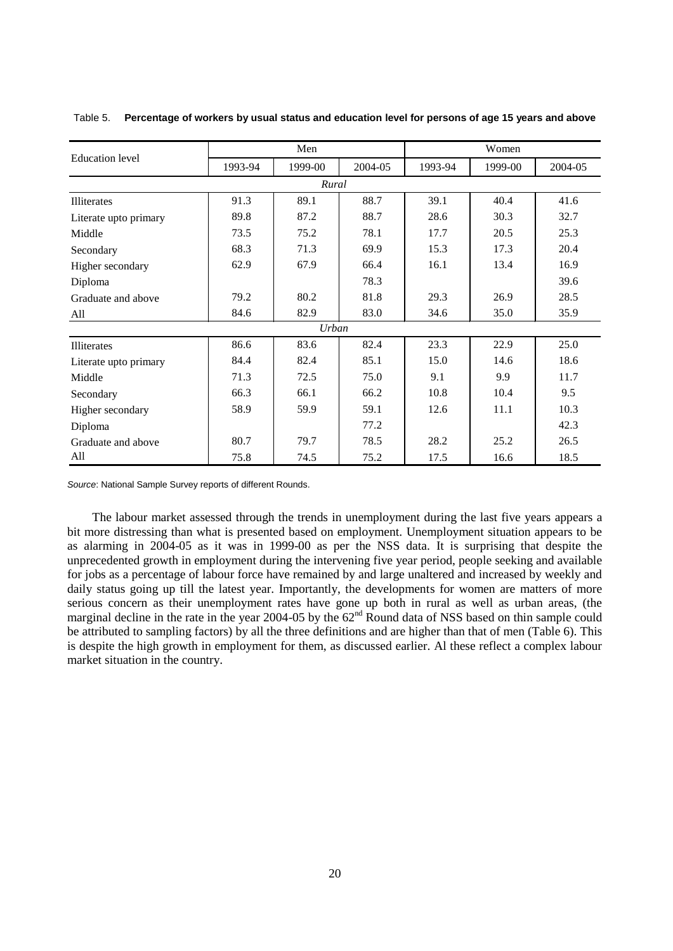|                        |         | Men     |         | Women   |         |         |  |
|------------------------|---------|---------|---------|---------|---------|---------|--|
| <b>Education</b> level | 1993-94 | 1999-00 | 2004-05 | 1993-94 | 1999-00 | 2004-05 |  |
|                        |         | Rural   |         |         |         |         |  |
| <b>Illiterates</b>     | 91.3    | 89.1    | 88.7    | 39.1    | 40.4    | 41.6    |  |
| Literate upto primary  | 89.8    | 87.2    | 88.7    | 28.6    | 30.3    | 32.7    |  |
| Middle                 | 73.5    | 75.2    | 78.1    | 17.7    | 20.5    | 25.3    |  |
| Secondary              | 68.3    | 71.3    | 69.9    | 15.3    | 17.3    | 20.4    |  |
| Higher secondary       | 62.9    | 67.9    | 66.4    | 16.1    | 13.4    | 16.9    |  |
| Diploma                |         |         | 78.3    |         |         | 39.6    |  |
| Graduate and above     | 79.2    | 80.2    | 81.8    | 29.3    | 26.9    | 28.5    |  |
| All                    | 84.6    | 82.9    | 83.0    | 34.6    | 35.0    | 35.9    |  |
|                        |         | Urban   |         |         |         |         |  |
| <b>Illiterates</b>     | 86.6    | 83.6    | 82.4    | 23.3    | 22.9    | 25.0    |  |
| Literate upto primary  | 84.4    | 82.4    | 85.1    | 15.0    | 14.6    | 18.6    |  |
| Middle                 | 71.3    | 72.5    | 75.0    | 9.1     | 9.9     | 11.7    |  |
| Secondary              | 66.3    | 66.1    | 66.2    | 10.8    | 10.4    | 9.5     |  |
| Higher secondary       | 58.9    | 59.9    | 59.1    | 12.6    | 11.1    | 10.3    |  |
| Diploma                |         |         | 77.2    |         |         | 42.3    |  |
| Graduate and above     | 80.7    | 79.7    | 78.5    | 28.2    | 25.2    | 26.5    |  |
| All                    | 75.8    | 74.5    | 75.2    | 17.5    | 16.6    | 18.5    |  |

Table 5. **Percentage of workers by usual status and education level for persons of age 15 years and above**

*Source*: National Sample Survey reports of different Rounds.

The labour market assessed through the trends in unemployment during the last five years appears a bit more distressing than what is presented based on employment. Unemployment situation appears to be as alarming in 2004-05 as it was in 1999-00 as per the NSS data. It is surprising that despite the unprecedented growth in employment during the intervening five year period, people seeking and available for jobs as a percentage of labour force have remained by and large unaltered and increased by weekly and daily status going up till the latest year. Importantly, the developments for women are matters of more serious concern as their unemployment rates have gone up both in rural as well as urban areas, (the marginal decline in the rate in the year 2004-05 by the  $62<sup>nd</sup>$  Round data of NSS based on thin sample could be attributed to sampling factors) by all the three definitions and are higher than that of men (Table 6). This is despite the high growth in employment for them, as discussed earlier. Al these reflect a complex labour market situation in the country.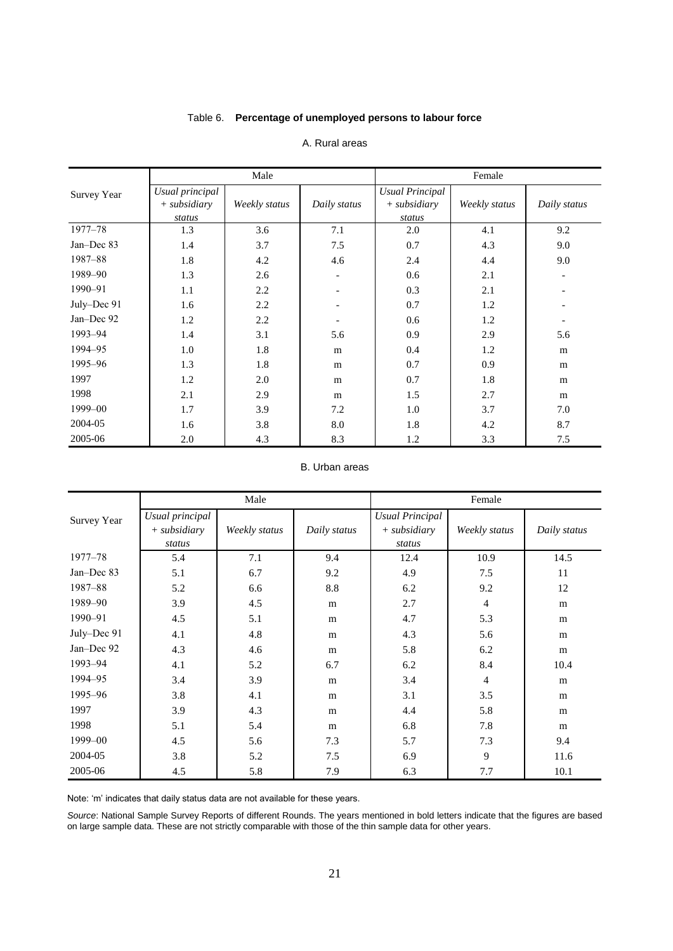# Table 6. **Percentage of unemployed persons to labour force**

|             |                                             | Male          |              | Female                                             |               |                          |  |
|-------------|---------------------------------------------|---------------|--------------|----------------------------------------------------|---------------|--------------------------|--|
| Survey Year | Usual principal<br>$+$ subsidiary<br>status | Weekly status | Daily status | <b>Usual Principal</b><br>$+$ subsidiary<br>status | Weekly status | Daily status             |  |
| 1977-78     | 1.3                                         | 3.6           | 7.1          | 2.0                                                | 4.1           | 9.2                      |  |
| Jan-Dec 83  | 1.4                                         | 3.7           | 7.5          | 0.7                                                | 4.3           | 9.0                      |  |
| 1987-88     | 1.8                                         | 4.2           | 4.6          | 2.4                                                | 4.4           | 9.0                      |  |
| 1989-90     | 1.3                                         | 2.6           |              | 0.6                                                | 2.1           | $\overline{\phantom{a}}$ |  |
| 1990-91     | 1.1                                         | 2.2           |              | 0.3                                                | 2.1           |                          |  |
| July-Dec 91 | 1.6                                         | 2.2           |              | 0.7                                                | 1.2           |                          |  |
| Jan-Dec 92  | 1.2                                         | 2.2           |              | 0.6                                                | 1.2           |                          |  |
| 1993-94     | 1.4                                         | 3.1           | 5.6          | 0.9                                                | 2.9           | 5.6                      |  |
| 1994-95     | 1.0                                         | 1.8           | m            | 0.4                                                | 1.2           | m                        |  |
| 1995-96     | 1.3                                         | 1.8           | m            | 0.7                                                | 0.9           | m                        |  |
| 1997        | 1.2                                         | 2.0           | m            | 0.7                                                | 1.8           | m                        |  |
| 1998        | 2.1                                         | 2.9           | m            | 1.5                                                | 2.7           | m                        |  |
| 1999-00     | 1.7                                         | 3.9           | 7.2          | 1.0                                                | 3.7           | 7.0                      |  |
| 2004-05     | 1.6                                         | 3.8           | $\rm 8.0$    | 1.8                                                | 4.2           | 8.7                      |  |
| 2005-06     | 2.0                                         | 4.3           | 8.3          | 1.2                                                | 3.3           | 7.5                      |  |

# A. Rural areas

# B. Urban areas

|             | Male                                        |               |              | Female                                             |                |              |
|-------------|---------------------------------------------|---------------|--------------|----------------------------------------------------|----------------|--------------|
| Survey Year | Usual principal<br>$+$ subsidiary<br>status | Weekly status | Daily status | <b>Usual Principal</b><br>$+$ subsidiary<br>status | Weekly status  | Daily status |
| $1977 - 78$ | 5.4                                         | 7.1           | 9.4          | 12.4                                               | 10.9           | 14.5         |
| Jan-Dec 83  | 5.1                                         | 6.7           | 9.2          | 4.9                                                | 7.5            | 11           |
| 1987-88     | 5.2                                         | 6.6           | 8.8          | 6.2                                                | 9.2            | 12           |
| 1989-90     | 3.9                                         | 4.5           | m            | 2.7                                                | 4              | m            |
| 1990-91     | 4.5                                         | 5.1           | m            | 4.7                                                | 5.3            | m            |
| July–Dec 91 | 4.1                                         | 4.8           | m            | 4.3                                                | 5.6            | m            |
| Jan-Dec 92  | 4.3                                         | 4.6           | m            | 5.8                                                | 6.2            | m            |
| 1993-94     | 4.1                                         | 5.2           | 6.7          | 6.2                                                | 8.4            | 10.4         |
| 1994-95     | 3.4                                         | 3.9           | m            | 3.4                                                | $\overline{4}$ | m            |
| 1995-96     | 3.8                                         | 4.1           | m            | 3.1                                                | 3.5            | m            |
| 1997        | 3.9                                         | 4.3           | m            | 4.4                                                | 5.8            | m            |
| 1998        | 5.1                                         | 5.4           | m            | 6.8                                                | 7.8            | m            |
| 1999-00     | 4.5                                         | 5.6           | 7.3          | 5.7                                                | 7.3            | 9.4          |
| 2004-05     | 3.8                                         | 5.2           | 7.5          | 6.9                                                | 9              | 11.6         |
| 2005-06     | 4.5                                         | 5.8           | 7.9          | 6.3                                                | 7.7            | 10.1         |

Note: 'm' indicates that daily status data are not available for these years.

*Source*: National Sample Survey Reports of different Rounds. The years mentioned in bold letters indicate that the figures are based on large sample data. These are not strictly comparable with those of the thin sample data for other years.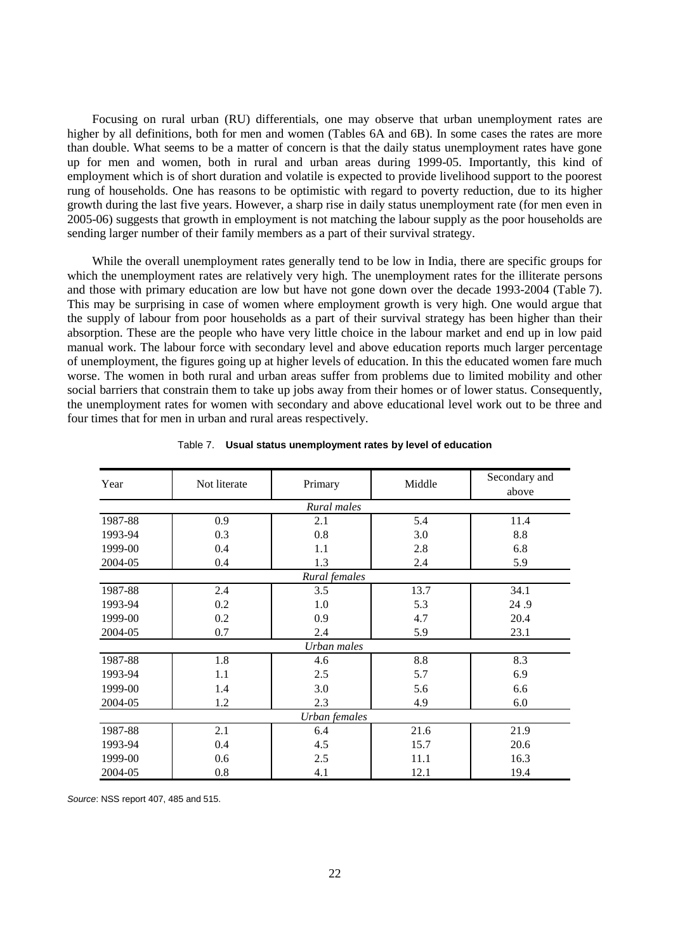Focusing on rural urban (RU) differentials, one may observe that urban unemployment rates are higher by all definitions, both for men and women (Tables 6A and 6B). In some cases the rates are more than double. What seems to be a matter of concern is that the daily status unemployment rates have gone up for men and women, both in rural and urban areas during 1999-05. Importantly, this kind of employment which is of short duration and volatile is expected to provide livelihood support to the poorest rung of households. One has reasons to be optimistic with regard to poverty reduction, due to its higher growth during the last five years. However, a sharp rise in daily status unemployment rate (for men even in 2005-06) suggests that growth in employment is not matching the labour supply as the poor households are sending larger number of their family members as a part of their survival strategy.

While the overall unemployment rates generally tend to be low in India, there are specific groups for which the unemployment rates are relatively very high. The unemployment rates for the illiterate persons and those with primary education are low but have not gone down over the decade 1993-2004 (Table 7). This may be surprising in case of women where employment growth is very high. One would argue that the supply of labour from poor households as a part of their survival strategy has been higher than their absorption. These are the people who have very little choice in the labour market and end up in low paid manual work. The labour force with secondary level and above education reports much larger percentage of unemployment, the figures going up at higher levels of education. In this the educated women fare much worse. The women in both rural and urban areas suffer from problems due to limited mobility and other social barriers that constrain them to take up jobs away from their homes or of lower status. Consequently, the unemployment rates for women with secondary and above educational level work out to be three and four times that for men in urban and rural areas respectively.

| Year    | Not literate | Primary       | Middle | Secondary and<br>above |
|---------|--------------|---------------|--------|------------------------|
|         |              | Rural males   |        |                        |
| 1987-88 | 0.9          | 2.1           | 5.4    | 11.4                   |
| 1993-94 | 0.3          | 0.8           | 3.0    | 8.8                    |
| 1999-00 | 0.4          | 1.1           | 2.8    | 6.8                    |
| 2004-05 | 0.4          | 1.3           | 2.4    | 5.9                    |
|         |              | Rural females |        |                        |
| 1987-88 | 2.4          | 3.5           | 13.7   | 34.1                   |
| 1993-94 | 0.2          | 1.0           | 5.3    | 24.9                   |
| 1999-00 | 0.2          | 0.9           | 4.7    | 20.4                   |
| 2004-05 | 0.7          | 2.4           | 5.9    | 23.1                   |
|         |              | Urban males   |        |                        |
| 1987-88 | 1.8          | 4.6           | 8.8    | 8.3                    |
| 1993-94 | 1.1          | 2.5           | 5.7    | 6.9                    |
| 1999-00 | 1.4          | 3.0           | 5.6    | 6.6                    |
| 2004-05 | 1.2          | 2.3           | 4.9    | 6.0                    |
|         |              | Urban females |        |                        |
| 1987-88 | 2.1          | 6.4           | 21.6   | 21.9                   |
| 1993-94 | 0.4          | 4.5           | 15.7   | 20.6                   |
| 1999-00 | 0.6          | 2.5           | 11.1   | 16.3                   |
| 2004-05 | 0.8          | 4.1           | 12.1   | 19.4                   |

|  |  | Table 7. Usual status unemployment rates by level of education |  |  |
|--|--|----------------------------------------------------------------|--|--|
|--|--|----------------------------------------------------------------|--|--|

*Source*: NSS report 407, 485 and 515.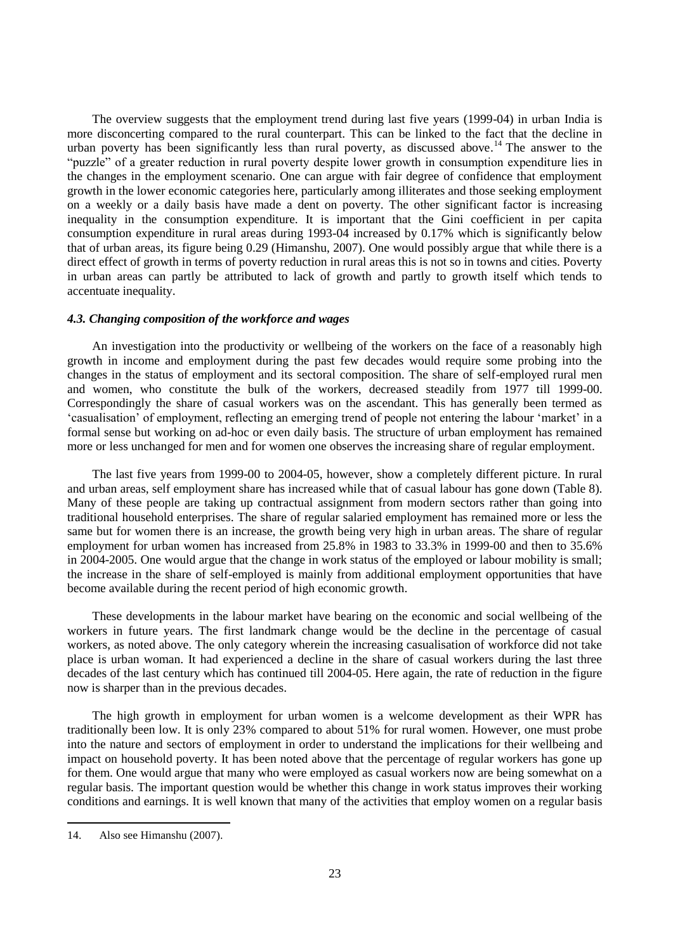The overview suggests that the employment trend during last five years (1999-04) in urban India is more disconcerting compared to the rural counterpart. This can be linked to the fact that the decline in urban poverty has been significantly less than rural poverty, as discussed above.<sup>14</sup> The answer to the "puzzle" of a greater reduction in rural poverty despite lower growth in consumption expenditure lies in the changes in the employment scenario. One can argue with fair degree of confidence that employment growth in the lower economic categories here, particularly among illiterates and those seeking employment on a weekly or a daily basis have made a dent on poverty. The other significant factor is increasing inequality in the consumption expenditure. It is important that the Gini coefficient in per capita consumption expenditure in rural areas during 1993-04 increased by 0.17% which is significantly below that of urban areas, its figure being 0.29 (Himanshu, 2007). One would possibly argue that while there is a direct effect of growth in terms of poverty reduction in rural areas this is not so in towns and cities. Poverty in urban areas can partly be attributed to lack of growth and partly to growth itself which tends to accentuate inequality.

### *4.3. Changing composition of the workforce and wages*

An investigation into the productivity or wellbeing of the workers on the face of a reasonably high growth in income and employment during the past few decades would require some probing into the changes in the status of employment and its sectoral composition. The share of self-employed rural men and women, who constitute the bulk of the workers, decreased steadily from 1977 till 1999-00. Correspondingly the share of casual workers was on the ascendant. This has generally been termed as "casualisation" of employment, reflecting an emerging trend of people not entering the labour "market" in a formal sense but working on ad-hoc or even daily basis. The structure of urban employment has remained more or less unchanged for men and for women one observes the increasing share of regular employment.

The last five years from 1999-00 to 2004-05, however, show a completely different picture. In rural and urban areas, self employment share has increased while that of casual labour has gone down (Table 8). Many of these people are taking up contractual assignment from modern sectors rather than going into traditional household enterprises. The share of regular salaried employment has remained more or less the same but for women there is an increase, the growth being very high in urban areas. The share of regular employment for urban women has increased from 25.8% in 1983 to 33.3% in 1999-00 and then to 35.6% in 2004-2005. One would argue that the change in work status of the employed or labour mobility is small; the increase in the share of self-employed is mainly from additional employment opportunities that have become available during the recent period of high economic growth.

These developments in the labour market have bearing on the economic and social wellbeing of the workers in future years. The first landmark change would be the decline in the percentage of casual workers, as noted above. The only category wherein the increasing casualisation of workforce did not take place is urban woman. It had experienced a decline in the share of casual workers during the last three decades of the last century which has continued till 2004-05. Here again, the rate of reduction in the figure now is sharper than in the previous decades.

The high growth in employment for urban women is a welcome development as their WPR has traditionally been low. It is only 23% compared to about 51% for rural women. However, one must probe into the nature and sectors of employment in order to understand the implications for their wellbeing and impact on household poverty. It has been noted above that the percentage of regular workers has gone up for them. One would argue that many who were employed as casual workers now are being somewhat on a regular basis. The important question would be whether this change in work status improves their working conditions and earnings. It is well known that many of the activities that employ women on a regular basis

<sup>14.</sup> Also see Himanshu (2007).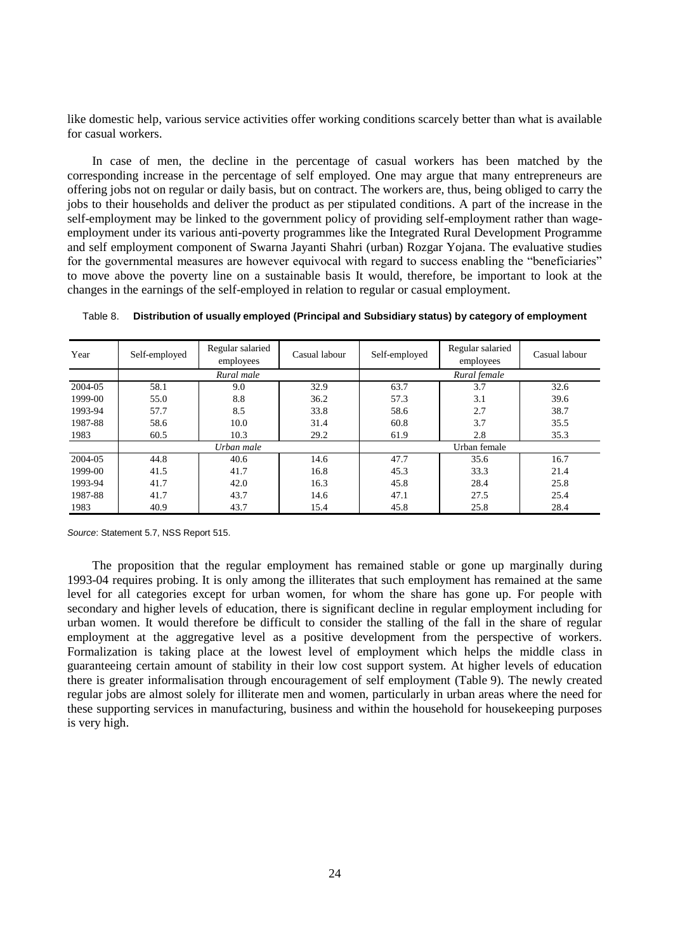like domestic help, various service activities offer working conditions scarcely better than what is available for casual workers.

In case of men, the decline in the percentage of casual workers has been matched by the corresponding increase in the percentage of self employed. One may argue that many entrepreneurs are offering jobs not on regular or daily basis, but on contract. The workers are, thus, being obliged to carry the jobs to their households and deliver the product as per stipulated conditions. A part of the increase in the self-employment may be linked to the government policy of providing self-employment rather than wageemployment under its various anti-poverty programmes like the Integrated Rural Development Programme and self employment component of Swarna Jayanti Shahri (urban) Rozgar Yojana. The evaluative studies for the governmental measures are however equivocal with regard to success enabling the "beneficiaries" to move above the poverty line on a sustainable basis It would, therefore, be important to look at the changes in the earnings of the self-employed in relation to regular or casual employment.

| Year    | Self-employed | Regular salaried<br>employees | Casual labour | Self-employed | Regular salaried<br>employees | Casual labour |
|---------|---------------|-------------------------------|---------------|---------------|-------------------------------|---------------|
|         |               | Rural male                    |               |               | Rural female                  |               |
| 2004-05 | 58.1          | 9.0                           | 32.9          | 63.7          | 3.7                           | 32.6          |
| 1999-00 | 55.0          | 8.8                           | 36.2          | 57.3          | 3.1                           | 39.6          |
| 1993-94 | 57.7          | 8.5                           | 33.8          | 58.6          | 2.7                           | 38.7          |
| 1987-88 | 58.6          | 10.0                          | 31.4          | 60.8          | 3.7                           | 35.5          |
| 1983    | 60.5          | 10.3                          | 29.2          | 61.9          | 2.8                           | 35.3          |
|         |               | Urban male                    |               |               | Urban female                  |               |
| 2004-05 | 44.8          | 40.6                          | 14.6          | 47.7          | 35.6                          | 16.7          |
| 1999-00 | 41.5          | 41.7                          | 16.8          | 45.3          | 33.3                          | 21.4          |
| 1993-94 | 41.7          | 42.0                          | 16.3          | 45.8          | 28.4                          | 25.8          |
| 1987-88 | 41.7          | 43.7                          | 14.6          | 47.1          | 27.5                          | 25.4          |
| 1983    | 40.9          | 43.7                          | 15.4          | 45.8          | 25.8                          | 28.4          |

Table 8. **Distribution of usually employed (Principal and Subsidiary status) by category of employment**

*Source*: Statement 5.7, NSS Report 515.

The proposition that the regular employment has remained stable or gone up marginally during 1993-04 requires probing. It is only among the illiterates that such employment has remained at the same level for all categories except for urban women, for whom the share has gone up. For people with secondary and higher levels of education, there is significant decline in regular employment including for urban women. It would therefore be difficult to consider the stalling of the fall in the share of regular employment at the aggregative level as a positive development from the perspective of workers. Formalization is taking place at the lowest level of employment which helps the middle class in guaranteeing certain amount of stability in their low cost support system. At higher levels of education there is greater informalisation through encouragement of self employment (Table 9). The newly created regular jobs are almost solely for illiterate men and women, particularly in urban areas where the need for these supporting services in manufacturing, business and within the household for housekeeping purposes is very high.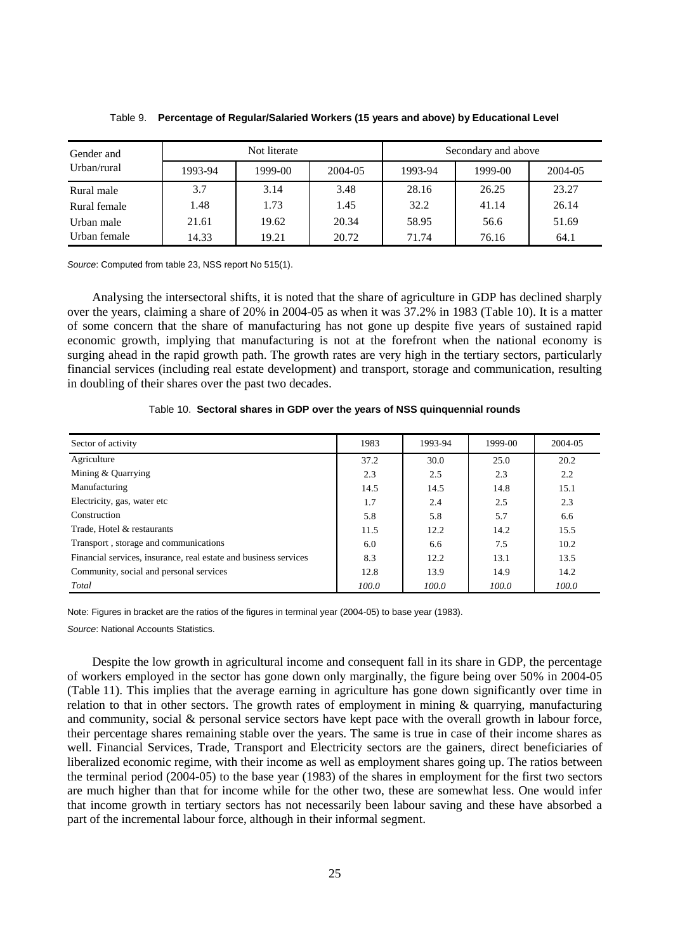| Gender and   |         | Not literate |         |         | Secondary and above |         |
|--------------|---------|--------------|---------|---------|---------------------|---------|
| Urban/rural  | 1993-94 | 1999-00      | 2004-05 | 1993-94 | 1999-00             | 2004-05 |
| Rural male   | 3.7     | 3.14         | 3.48    | 28.16   | 26.25               | 23.27   |
| Rural female | 1.48    | 1.73         | 1.45    | 32.2    | 41.14               | 26.14   |
| Urban male   | 21.61   | 19.62        | 20.34   | 58.95   | 56.6                | 51.69   |
| Urban female | 14.33   | 19.21        | 20.72   | 71.74   | 76.16               | 64.1    |

Table 9. **Percentage of Regular/Salaried Workers (15 years and above) by Educational Level** 

*Source*: Computed from table 23, NSS report No 515(1).

Analysing the intersectoral shifts, it is noted that the share of agriculture in GDP has declined sharply over the years, claiming a share of 20% in 2004-05 as when it was 37.2% in 1983 (Table 10). It is a matter of some concern that the share of manufacturing has not gone up despite five years of sustained rapid economic growth, implying that manufacturing is not at the forefront when the national economy is surging ahead in the rapid growth path. The growth rates are very high in the tertiary sectors, particularly financial services (including real estate development) and transport, storage and communication, resulting in doubling of their shares over the past two decades.

| Sector of activity                                               | 1983  | 1993-94 | 1999-00 | 2004-05 |
|------------------------------------------------------------------|-------|---------|---------|---------|
| Agriculture                                                      | 37.2  | 30.0    | 25.0    | 20.2    |
| Mining & Quarrying                                               | 2.3   | 2.5     | 2.3     | 2.2     |
| Manufacturing                                                    | 14.5  | 14.5    | 14.8    | 15.1    |
| Electricity, gas, water etc.                                     | 1.7   | 2.4     | 2.5     | 2.3     |
| Construction                                                     | 5.8   | 5.8     | 5.7     | 6.6     |
| Trade, Hotel & restaurants                                       | 11.5  | 12.2    | 14.2    | 15.5    |
| Transport, storage and communications                            | 6.0   | 6.6     | 7.5     | 10.2    |
| Financial services, insurance, real estate and business services | 8.3   | 12.2    | 13.1    | 13.5    |
| Community, social and personal services                          | 12.8  | 13.9    | 14.9    | 14.2    |
| Total                                                            | 100.0 | 100.0   | 100.0   | 100.0   |

Note: Figures in bracket are the ratios of the figures in terminal year (2004-05) to base year (1983).

*Source*: National Accounts Statistics.

Despite the low growth in agricultural income and consequent fall in its share in GDP, the percentage of workers employed in the sector has gone down only marginally, the figure being over 50% in 2004-05 (Table 11). This implies that the average earning in agriculture has gone down significantly over time in relation to that in other sectors. The growth rates of employment in mining  $\&$  quarrying, manufacturing and community, social & personal service sectors have kept pace with the overall growth in labour force, their percentage shares remaining stable over the years. The same is true in case of their income shares as well. Financial Services, Trade, Transport and Electricity sectors are the gainers, direct beneficiaries of liberalized economic regime, with their income as well as employment shares going up. The ratios between the terminal period (2004-05) to the base year (1983) of the shares in employment for the first two sectors are much higher than that for income while for the other two, these are somewhat less. One would infer that income growth in tertiary sectors has not necessarily been labour saving and these have absorbed a part of the incremental labour force, although in their informal segment.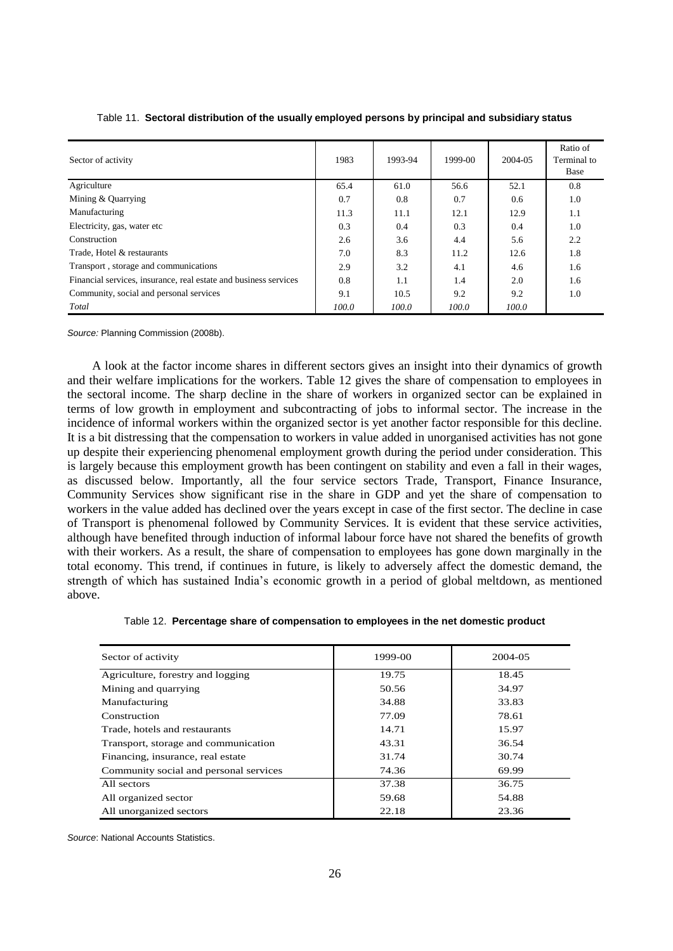| Sector of activity                                               | 1983  | 1993-94 | 1999-00 | 2004-05 | Ratio of<br>Terminal to<br>Base |
|------------------------------------------------------------------|-------|---------|---------|---------|---------------------------------|
| Agriculture                                                      | 65.4  | 61.0    | 56.6    | 52.1    | 0.8                             |
| Mining & Quarrying                                               | 0.7   | 0.8     | 0.7     | 0.6     | 1.0                             |
| Manufacturing                                                    | 11.3  | 11.1    | 12.1    | 12.9    | 1.1                             |
| Electricity, gas, water etc.                                     | 0.3   | 0.4     | 0.3     | 0.4     | 1.0                             |
| Construction                                                     | 2.6   | 3.6     | 4.4     | 5.6     | 2.2                             |
| Trade, Hotel & restaurants                                       | 7.0   | 8.3     | 11.2    | 12.6    | 1.8                             |
| Transport, storage and communications                            | 2.9   | 3.2     | 4.1     | 4.6     | 1.6                             |
| Financial services, insurance, real estate and business services | 0.8   | 1.1     | 1.4     | 2.0     | 1.6                             |
| Community, social and personal services                          | 9.1   | 10.5    | 9.2     | 9.2     | 1.0                             |
| Total                                                            | 100.0 | 100.0   | 100.0   | 100.0   |                                 |

### Table 11. **Sectoral distribution of the usually employed persons by principal and subsidiary status**

*Source:* Planning Commission (2008b).

A look at the factor income shares in different sectors gives an insight into their dynamics of growth and their welfare implications for the workers. Table 12 gives the share of compensation to employees in the sectoral income. The sharp decline in the share of workers in organized sector can be explained in terms of low growth in employment and subcontracting of jobs to informal sector. The increase in the incidence of informal workers within the organized sector is yet another factor responsible for this decline. It is a bit distressing that the compensation to workers in value added in unorganised activities has not gone up despite their experiencing phenomenal employment growth during the period under consideration. This is largely because this employment growth has been contingent on stability and even a fall in their wages, as discussed below. Importantly, all the four service sectors Trade, Transport, Finance Insurance, Community Services show significant rise in the share in GDP and yet the share of compensation to workers in the value added has declined over the years except in case of the first sector. The decline in case of Transport is phenomenal followed by Community Services. It is evident that these service activities, although have benefited through induction of informal labour force have not shared the benefits of growth with their workers. As a result, the share of compensation to employees has gone down marginally in the total economy. This trend, if continues in future, is likely to adversely affect the domestic demand, the strength of which has sustained India"s economic growth in a period of global meltdown, as mentioned above.

|  | Table 12. Percentage share of compensation to employees in the net domestic product |  |  |  |
|--|-------------------------------------------------------------------------------------|--|--|--|
|--|-------------------------------------------------------------------------------------|--|--|--|

| Sector of activity                     | 1999-00 | 2004-05 |
|----------------------------------------|---------|---------|
| Agriculture, forestry and logging      | 19.75   | 18.45   |
| Mining and quarrying                   | 50.56   | 34.97   |
| Manufacturing                          | 34.88   | 33.83   |
| Construction                           | 77.09   | 78.61   |
| Trade, hotels and restaurants          | 14.71   | 15.97   |
| Transport, storage and communication   | 43.31   | 36.54   |
| Financing, insurance, real estate      | 31.74   | 30.74   |
| Community social and personal services | 74.36   | 69.99   |
| All sectors                            | 37.38   | 36.75   |
| All organized sector                   | 59.68   | 54.88   |
| All unorganized sectors                | 22.18   | 23.36   |

*Source*: National Accounts Statistics.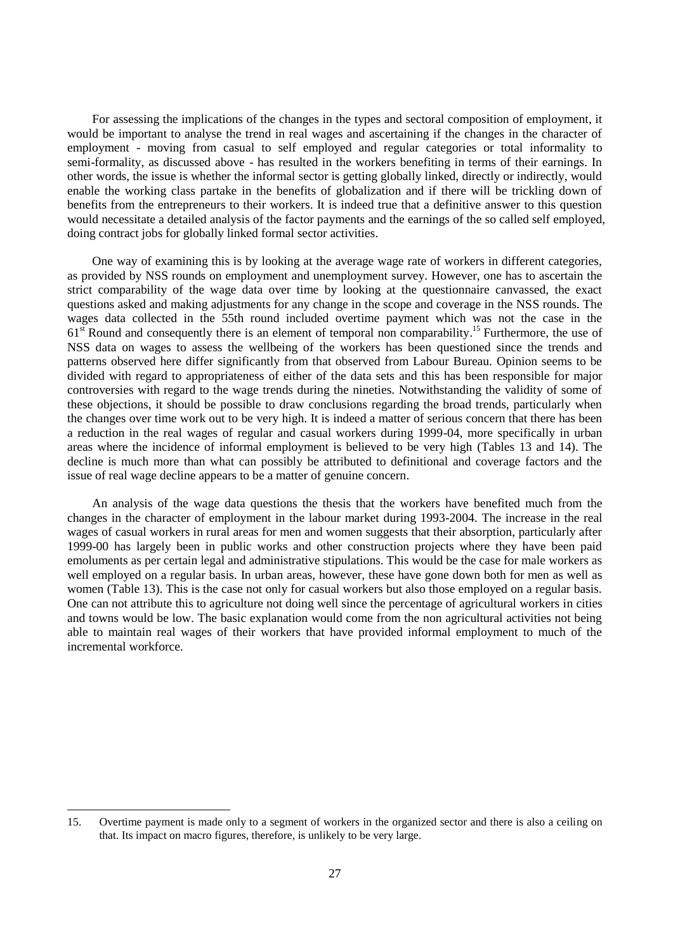For assessing the implications of the changes in the types and sectoral composition of employment, it would be important to analyse the trend in real wages and ascertaining if the changes in the character of employment - moving from casual to self employed and regular categories or total informality to semi-formality, as discussed above - has resulted in the workers benefiting in terms of their earnings. In other words, the issue is whether the informal sector is getting globally linked, directly or indirectly, would enable the working class partake in the benefits of globalization and if there will be trickling down of benefits from the entrepreneurs to their workers. It is indeed true that a definitive answer to this question would necessitate a detailed analysis of the factor payments and the earnings of the so called self employed, doing contract jobs for globally linked formal sector activities.

One way of examining this is by looking at the average wage rate of workers in different categories, as provided by NSS rounds on employment and unemployment survey. However, one has to ascertain the strict comparability of the wage data over time by looking at the questionnaire canvassed, the exact questions asked and making adjustments for any change in the scope and coverage in the NSS rounds. The wages data collected in the 55th round included overtime payment which was not the case in the  $61<sup>st</sup>$  Round and consequently there is an element of temporal non comparability.<sup>15</sup> Furthermore, the use of NSS data on wages to assess the wellbeing of the workers has been questioned since the trends and patterns observed here differ significantly from that observed from Labour Bureau. Opinion seems to be divided with regard to appropriateness of either of the data sets and this has been responsible for major controversies with regard to the wage trends during the nineties. Notwithstanding the validity of some of these objections, it should be possible to draw conclusions regarding the broad trends, particularly when the changes over time work out to be very high. It is indeed a matter of serious concern that there has been a reduction in the real wages of regular and casual workers during 1999-04, more specifically in urban areas where the incidence of informal employment is believed to be very high (Tables 13 and 14). The decline is much more than what can possibly be attributed to definitional and coverage factors and the issue of real wage decline appears to be a matter of genuine concern.

An analysis of the wage data questions the thesis that the workers have benefited much from the changes in the character of employment in the labour market during 1993-2004. The increase in the real wages of casual workers in rural areas for men and women suggests that their absorption, particularly after 1999-00 has largely been in public works and other construction projects where they have been paid emoluments as per certain legal and administrative stipulations. This would be the case for male workers as well employed on a regular basis. In urban areas, however, these have gone down both for men as well as women (Table 13). This is the case not only for casual workers but also those employed on a regular basis. One can not attribute this to agriculture not doing well since the percentage of agricultural workers in cities and towns would be low. The basic explanation would come from the non agricultural activities not being able to maintain real wages of their workers that have provided informal employment to much of the incremental workforce.

l

<sup>15.</sup> Overtime payment is made only to a segment of workers in the organized sector and there is also a ceiling on that. Its impact on macro figures, therefore, is unlikely to be very large.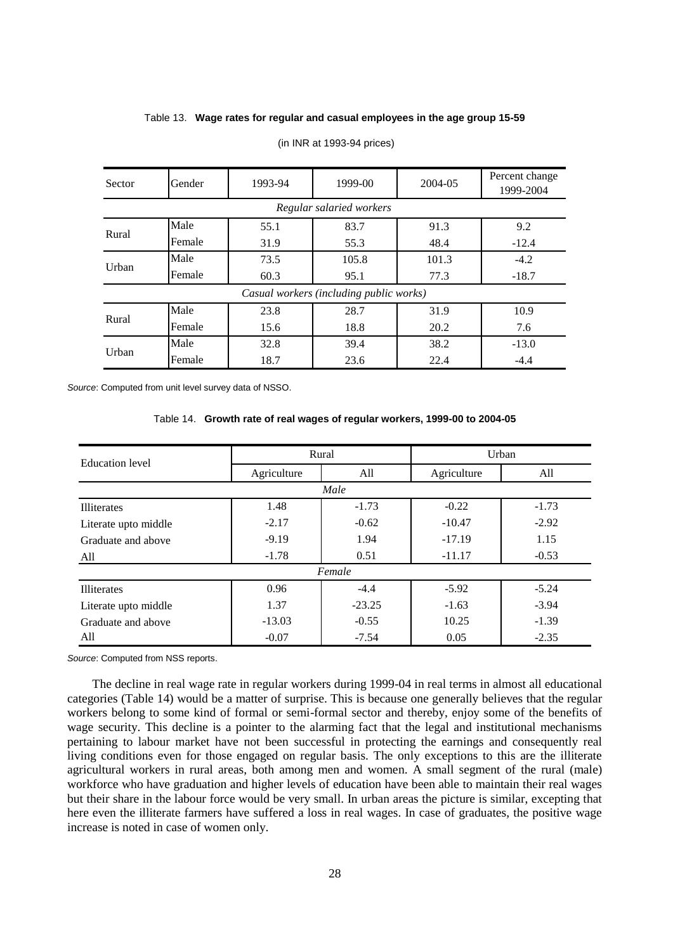### Table 13. **Wage rates for regular and casual employees in the age group 15-59**

| Sector                   | Gender | 1993-94 | 1999-00                                 | 2004-05 | Percent change<br>1999-2004 |  |  |
|--------------------------|--------|---------|-----------------------------------------|---------|-----------------------------|--|--|
| Regular salaried workers |        |         |                                         |         |                             |  |  |
| Rural                    | Male   | 55.1    | 83.7                                    | 91.3    | 9.2                         |  |  |
|                          | Female | 31.9    | 55.3                                    | 48.4    | $-12.4$                     |  |  |
| Urban                    | Male   | 73.5    | 105.8                                   | 101.3   | $-4.2$                      |  |  |
|                          | Female | 60.3    | 95.1                                    | 77.3    | $-18.7$                     |  |  |
|                          |        |         | Casual workers (including public works) |         |                             |  |  |
| Rural                    | Male   | 23.8    | 28.7                                    | 31.9    | 10.9                        |  |  |
|                          | Female | 15.6    | 18.8                                    | 20.2    | 7.6                         |  |  |
| Urban                    | Male   | 32.8    | 39.4                                    | 38.2    | $-13.0$                     |  |  |
|                          | Female | 18.7    | 23.6                                    | 22.4    | $-4.4$                      |  |  |

#### (in INR at 1993-94 prices)

*Source*: Computed from unit level survey data of NSSO.

### Table 14. **Growth rate of real wages of regular workers, 1999-00 to 2004-05**

| <b>Education</b> level | Rural       |          | Urban       |         |  |  |
|------------------------|-------------|----------|-------------|---------|--|--|
|                        | Agriculture | All      | Agriculture | All     |  |  |
| Male                   |             |          |             |         |  |  |
| Illiterates            | 1.48        | $-1.73$  | $-0.22$     | $-1.73$ |  |  |
| Literate upto middle   | $-2.17$     | $-0.62$  | $-10.47$    | $-2.92$ |  |  |
| Graduate and above     | $-9.19$     | 1.94     | $-17.19$    | 1.15    |  |  |
| All                    | $-1.78$     | 0.51     | $-11.17$    | $-0.53$ |  |  |
| Female                 |             |          |             |         |  |  |
| <b>Illiterates</b>     | 0.96        | $-4.4$   | $-5.92$     | $-5.24$ |  |  |
| Literate upto middle   | 1.37        | $-23.25$ | $-1.63$     | $-3.94$ |  |  |
| Graduate and above     | $-13.03$    | $-0.55$  | 10.25       | $-1.39$ |  |  |
| All                    | $-0.07$     | $-7.54$  | 0.05        | $-2.35$ |  |  |

*Source*: Computed from NSS reports.

The decline in real wage rate in regular workers during 1999-04 in real terms in almost all educational categories (Table 14) would be a matter of surprise. This is because one generally believes that the regular workers belong to some kind of formal or semi-formal sector and thereby, enjoy some of the benefits of wage security. This decline is a pointer to the alarming fact that the legal and institutional mechanisms pertaining to labour market have not been successful in protecting the earnings and consequently real living conditions even for those engaged on regular basis. The only exceptions to this are the illiterate agricultural workers in rural areas, both among men and women. A small segment of the rural (male) workforce who have graduation and higher levels of education have been able to maintain their real wages but their share in the labour force would be very small. In urban areas the picture is similar, excepting that here even the illiterate farmers have suffered a loss in real wages. In case of graduates, the positive wage increase is noted in case of women only.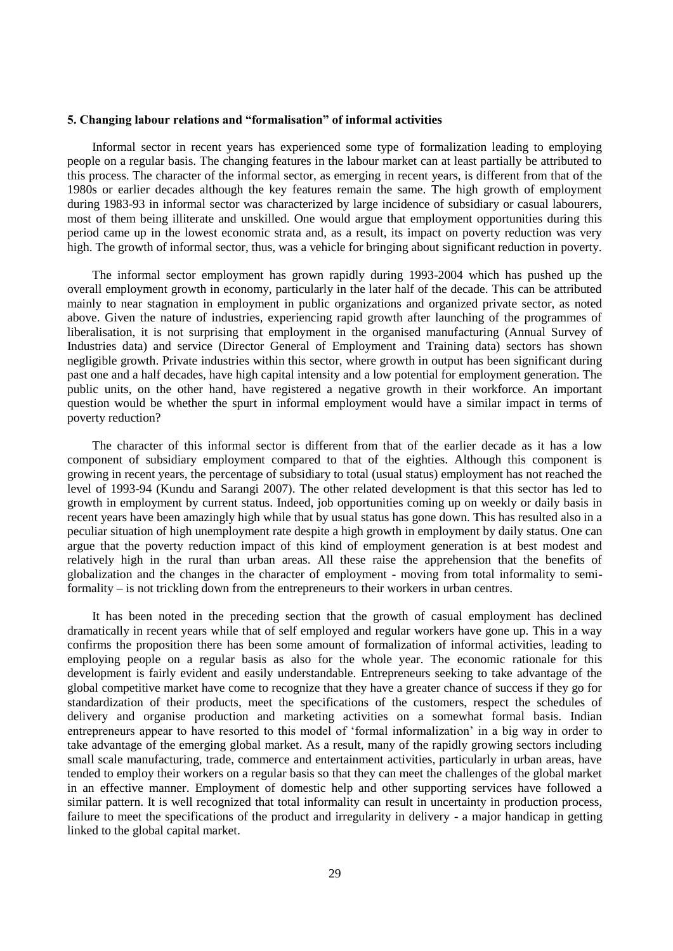#### **5. Changing labour relations and "formalisation" of informal activities**

Informal sector in recent years has experienced some type of formalization leading to employing people on a regular basis. The changing features in the labour market can at least partially be attributed to this process. The character of the informal sector, as emerging in recent years, is different from that of the 1980s or earlier decades although the key features remain the same. The high growth of employment during 1983-93 in informal sector was characterized by large incidence of subsidiary or casual labourers, most of them being illiterate and unskilled. One would argue that employment opportunities during this period came up in the lowest economic strata and, as a result, its impact on poverty reduction was very high. The growth of informal sector, thus, was a vehicle for bringing about significant reduction in poverty.

The informal sector employment has grown rapidly during 1993-2004 which has pushed up the overall employment growth in economy, particularly in the later half of the decade. This can be attributed mainly to near stagnation in employment in public organizations and organized private sector, as noted above. Given the nature of industries, experiencing rapid growth after launching of the programmes of liberalisation, it is not surprising that employment in the organised manufacturing (Annual Survey of Industries data) and service (Director General of Employment and Training data) sectors has shown negligible growth. Private industries within this sector, where growth in output has been significant during past one and a half decades, have high capital intensity and a low potential for employment generation. The public units, on the other hand, have registered a negative growth in their workforce. An important question would be whether the spurt in informal employment would have a similar impact in terms of poverty reduction?

The character of this informal sector is different from that of the earlier decade as it has a low component of subsidiary employment compared to that of the eighties. Although this component is growing in recent years, the percentage of subsidiary to total (usual status) employment has not reached the level of 1993-94 (Kundu and Sarangi 2007). The other related development is that this sector has led to growth in employment by current status. Indeed, job opportunities coming up on weekly or daily basis in recent years have been amazingly high while that by usual status has gone down. This has resulted also in a peculiar situation of high unemployment rate despite a high growth in employment by daily status. One can argue that the poverty reduction impact of this kind of employment generation is at best modest and relatively high in the rural than urban areas. All these raise the apprehension that the benefits of globalization and the changes in the character of employment - moving from total informality to semiformality – is not trickling down from the entrepreneurs to their workers in urban centres.

It has been noted in the preceding section that the growth of casual employment has declined dramatically in recent years while that of self employed and regular workers have gone up. This in a way confirms the proposition there has been some amount of formalization of informal activities, leading to employing people on a regular basis as also for the whole year. The economic rationale for this development is fairly evident and easily understandable. Entrepreneurs seeking to take advantage of the global competitive market have come to recognize that they have a greater chance of success if they go for standardization of their products, meet the specifications of the customers, respect the schedules of delivery and organise production and marketing activities on a somewhat formal basis. Indian entrepreneurs appear to have resorted to this model of "formal informalization" in a big way in order to take advantage of the emerging global market. As a result, many of the rapidly growing sectors including small scale manufacturing, trade, commerce and entertainment activities, particularly in urban areas, have tended to employ their workers on a regular basis so that they can meet the challenges of the global market in an effective manner. Employment of domestic help and other supporting services have followed a similar pattern. It is well recognized that total informality can result in uncertainty in production process, failure to meet the specifications of the product and irregularity in delivery - a major handicap in getting linked to the global capital market.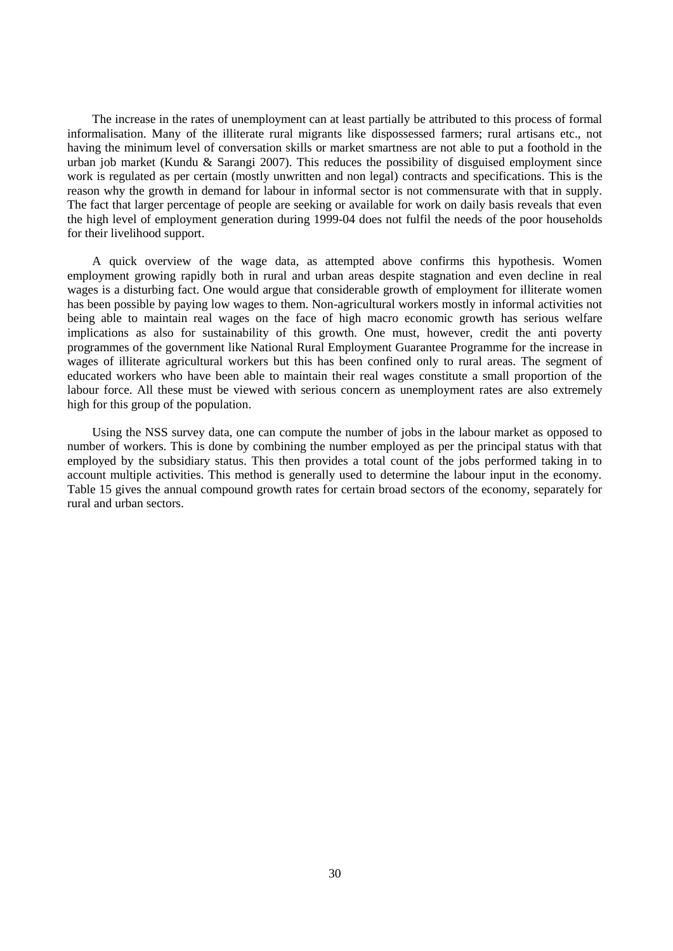The increase in the rates of unemployment can at least partially be attributed to this process of formal informalisation. Many of the illiterate rural migrants like dispossessed farmers; rural artisans etc., not having the minimum level of conversation skills or market smartness are not able to put a foothold in the urban job market (Kundu & Sarangi 2007). This reduces the possibility of disguised employment since work is regulated as per certain (mostly unwritten and non legal) contracts and specifications. This is the reason why the growth in demand for labour in informal sector is not commensurate with that in supply. The fact that larger percentage of people are seeking or available for work on daily basis reveals that even the high level of employment generation during 1999-04 does not fulfil the needs of the poor households for their livelihood support.

A quick overview of the wage data, as attempted above confirms this hypothesis. Women employment growing rapidly both in rural and urban areas despite stagnation and even decline in real wages is a disturbing fact. One would argue that considerable growth of employment for illiterate women has been possible by paying low wages to them. Non-agricultural workers mostly in informal activities not being able to maintain real wages on the face of high macro economic growth has serious welfare implications as also for sustainability of this growth. One must, however, credit the anti poverty programmes of the government like National Rural Employment Guarantee Programme for the increase in wages of illiterate agricultural workers but this has been confined only to rural areas. The segment of educated workers who have been able to maintain their real wages constitute a small proportion of the labour force. All these must be viewed with serious concern as unemployment rates are also extremely high for this group of the population.

Using the NSS survey data, one can compute the number of jobs in the labour market as opposed to number of workers. This is done by combining the number employed as per the principal status with that employed by the subsidiary status. This then provides a total count of the jobs performed taking in to account multiple activities. This method is generally used to determine the labour input in the economy. Table 15 gives the annual compound growth rates for certain broad sectors of the economy, separately for rural and urban sectors.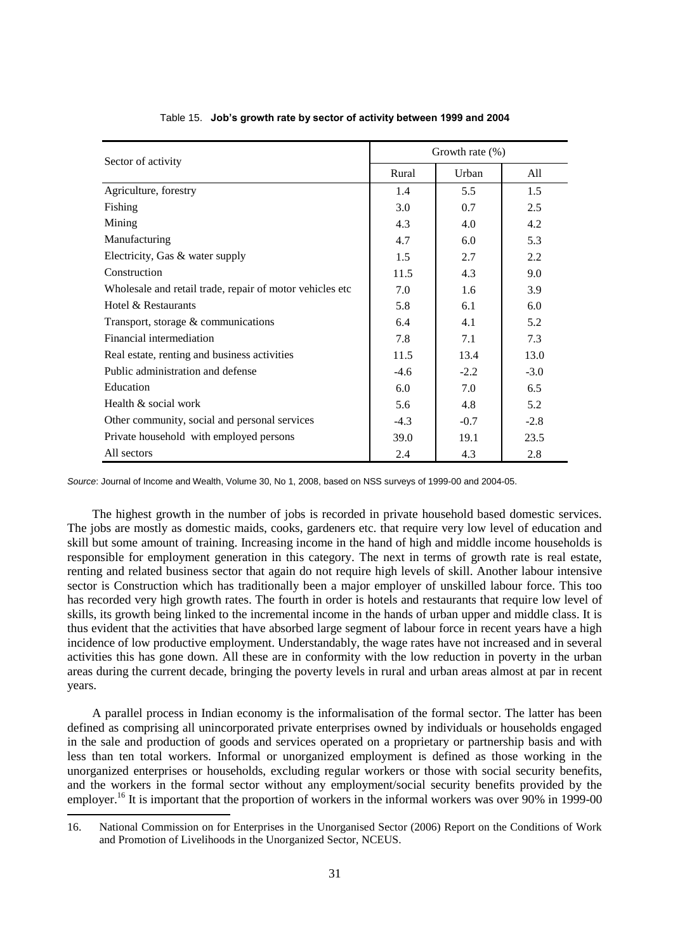| Sector of activity                                       |        | Growth rate $(\% )$ |        |  |  |
|----------------------------------------------------------|--------|---------------------|--------|--|--|
|                                                          | Rural  | Urban               | All    |  |  |
| Agriculture, forestry                                    | 1.4    | 5.5                 | 1.5    |  |  |
| Fishing                                                  | 3.0    | 0.7                 | 2.5    |  |  |
| Mining                                                   | 4.3    | 4.0                 | 4.2    |  |  |
| Manufacturing                                            | 4.7    | 6.0                 | 5.3    |  |  |
| Electricity, Gas & water supply                          | 1.5    | 2.7                 | 2.2    |  |  |
| Construction                                             | 11.5   | 4.3                 | 9.0    |  |  |
| Wholesale and retail trade, repair of motor vehicles etc | 7.0    | 1.6                 | 3.9    |  |  |
| Hotel & Restaurants                                      | 5.8    | 6.1                 | 6.0    |  |  |
| Transport, storage $&$ communications                    | 6.4    | 4.1                 | 5.2    |  |  |
| Financial intermediation                                 | 7.8    | 7.1                 | 7.3    |  |  |
| Real estate, renting and business activities             | 11.5   | 13.4                | 13.0   |  |  |
| Public administration and defense                        | $-4.6$ | $-2.2$              | $-3.0$ |  |  |
| Education                                                | 6.0    | 7.0                 | 6.5    |  |  |
| Health & social work                                     | 5.6    | 4.8                 | 5.2    |  |  |
| Other community, social and personal services            | $-4.3$ | $-0.7$              | $-2.8$ |  |  |
| Private household with employed persons                  | 39.0   | 19.1                | 23.5   |  |  |
| All sectors                                              | 2.4    | 4.3                 | 2.8    |  |  |

### Table 15. **Job's growth rate by sector of activity between 1999 and 2004**

*Source*: Journal of Income and Wealth, Volume 30, No 1, 2008, based on NSS surveys of 1999-00 and 2004-05.

The highest growth in the number of jobs is recorded in private household based domestic services. The jobs are mostly as domestic maids, cooks, gardeners etc. that require very low level of education and skill but some amount of training. Increasing income in the hand of high and middle income households is responsible for employment generation in this category. The next in terms of growth rate is real estate, renting and related business sector that again do not require high levels of skill. Another labour intensive sector is Construction which has traditionally been a major employer of unskilled labour force. This too has recorded very high growth rates. The fourth in order is hotels and restaurants that require low level of skills, its growth being linked to the incremental income in the hands of urban upper and middle class. It is thus evident that the activities that have absorbed large segment of labour force in recent years have a high incidence of low productive employment. Understandably, the wage rates have not increased and in several activities this has gone down. All these are in conformity with the low reduction in poverty in the urban areas during the current decade, bringing the poverty levels in rural and urban areas almost at par in recent years.

A parallel process in Indian economy is the informalisation of the formal sector. The latter has been defined as comprising all unincorporated private enterprises owned by individuals or households engaged in the sale and production of goods and services operated on a proprietary or partnership basis and with less than ten total workers. Informal or unorganized employment is defined as those working in the unorganized enterprises or households, excluding regular workers or those with social security benefits, and the workers in the formal sector without any employment/social security benefits provided by the employer.<sup>16</sup> It is important that the proportion of workers in the informal workers was over 90% in 1999-00

l

<sup>16.</sup> National Commission on for Enterprises in the Unorganised Sector (2006) Report on the Conditions of Work and Promotion of Livelihoods in the Unorganized Sector, NCEUS.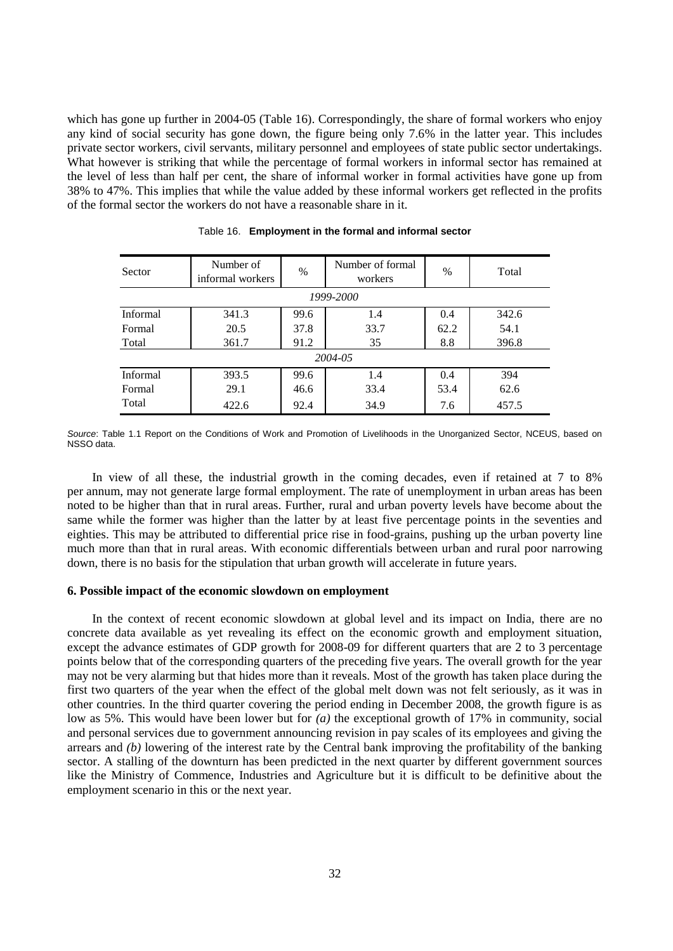which has gone up further in 2004-05 (Table 16). Correspondingly, the share of formal workers who enjoy any kind of social security has gone down, the figure being only 7.6% in the latter year. This includes private sector workers, civil servants, military personnel and employees of state public sector undertakings. What however is striking that while the percentage of formal workers in informal sector has remained at the level of less than half per cent, the share of informal worker in formal activities have gone up from 38% to 47%. This implies that while the value added by these informal workers get reflected in the profits of the formal sector the workers do not have a reasonable share in it.

| Sector          | Number of<br>informal workers | %    | Number of formal<br>workers | $\%$ | Total |
|-----------------|-------------------------------|------|-----------------------------|------|-------|
|                 | 1999-2000                     |      |                             |      |       |
| <b>Informal</b> | 341.3                         | 99.6 | 1.4                         | 0.4  | 342.6 |
| Formal          | 20.5                          | 37.8 | 33.7                        | 62.2 | 54.1  |
| Total           | 361.7                         | 91.2 | 35                          | 8.8  | 396.8 |
| 2004-05         |                               |      |                             |      |       |
| Informal        | 393.5                         | 99.6 | 1.4                         | 0.4  | 394   |
| Formal          | 29.1                          | 46.6 | 33.4                        | 53.4 | 62.6  |
| Total           | 422.6                         | 92.4 | 34.9                        | 7.6  | 457.5 |

|  |  |  | Table 16. Employment in the formal and informal sector |
|--|--|--|--------------------------------------------------------|
|--|--|--|--------------------------------------------------------|

*Source*: Table 1.1 Report on the Conditions of Work and Promotion of Livelihoods in the Unorganized Sector, NCEUS, based on NSSO data.

In view of all these, the industrial growth in the coming decades, even if retained at 7 to 8% per annum, may not generate large formal employment. The rate of unemployment in urban areas has been noted to be higher than that in rural areas. Further, rural and urban poverty levels have become about the same while the former was higher than the latter by at least five percentage points in the seventies and eighties. This may be attributed to differential price rise in food-grains, pushing up the urban poverty line much more than that in rural areas. With economic differentials between urban and rural poor narrowing down, there is no basis for the stipulation that urban growth will accelerate in future years.

### **6. Possible impact of the economic slowdown on employment**

In the context of recent economic slowdown at global level and its impact on India, there are no concrete data available as yet revealing its effect on the economic growth and employment situation, except the advance estimates of GDP growth for 2008-09 for different quarters that are 2 to 3 percentage points below that of the corresponding quarters of the preceding five years. The overall growth for the year may not be very alarming but that hides more than it reveals. Most of the growth has taken place during the first two quarters of the year when the effect of the global melt down was not felt seriously, as it was in other countries. In the third quarter covering the period ending in December 2008, the growth figure is as low as 5%. This would have been lower but for *(a)* the exceptional growth of 17% in community, social and personal services due to government announcing revision in pay scales of its employees and giving the arrears and *(b)* lowering of the interest rate by the Central bank improving the profitability of the banking sector. A stalling of the downturn has been predicted in the next quarter by different government sources like the Ministry of Commence, Industries and Agriculture but it is difficult to be definitive about the employment scenario in this or the next year.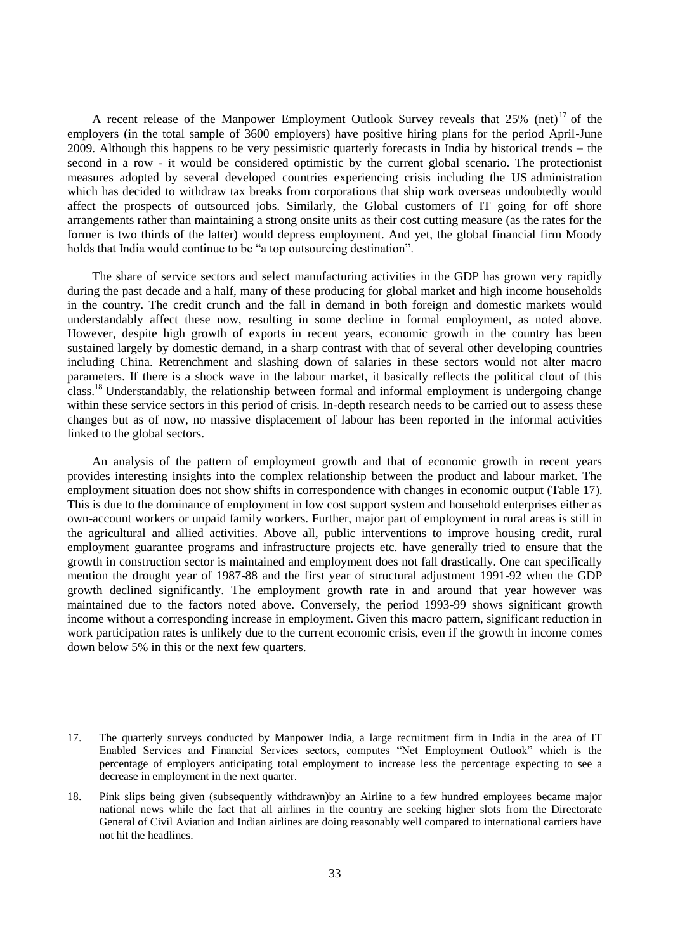A recent release of the Manpower Employment Outlook Survey reveals that  $25\%$  (net)<sup>17</sup> of the employers (in the total sample of 3600 employers) have positive hiring plans for the period April-June 2009. Although this happens to be very pessimistic quarterly forecasts in India by historical trends  $-$  the second in a row - it would be considered optimistic by the current global scenario. The protectionist measures adopted by several developed countries experiencing crisis including the US administration which has decided to withdraw tax breaks from corporations that ship work overseas undoubtedly would affect the prospects of outsourced jobs. Similarly, the Global customers of IT going for off shore arrangements rather than maintaining a strong onsite units as their cost cutting measure (as the rates for the former is two thirds of the latter) would depress employment. And yet, the global financial firm Moody holds that India would continue to be "a top outsourcing destination".

The share of service sectors and select manufacturing activities in the GDP has grown very rapidly during the past decade and a half, many of these producing for global market and high income households in the country. The credit crunch and the fall in demand in both foreign and domestic markets would understandably affect these now, resulting in some decline in formal employment, as noted above. However, despite high growth of exports in recent years, economic growth in the country has been sustained largely by domestic demand, in a sharp contrast with that of several other developing countries including China. Retrenchment and slashing down of salaries in these sectors would not alter macro parameters. If there is a shock wave in the labour market, it basically reflects the political clout of this class.<sup>18</sup> Understandably, the relationship between formal and informal employment is undergoing change within these service sectors in this period of crisis. In-depth research needs to be carried out to assess these changes but as of now, no massive displacement of labour has been reported in the informal activities linked to the global sectors.

An analysis of the pattern of employment growth and that of economic growth in recent years provides interesting insights into the complex relationship between the product and labour market. The employment situation does not show shifts in correspondence with changes in economic output (Table 17). This is due to the dominance of employment in low cost support system and household enterprises either as own-account workers or unpaid family workers. Further, major part of employment in rural areas is still in the agricultural and allied activities. Above all, public interventions to improve housing credit, rural employment guarantee programs and infrastructure projects etc. have generally tried to ensure that the growth in construction sector is maintained and employment does not fall drastically. One can specifically mention the drought year of 1987-88 and the first year of structural adjustment 1991-92 when the GDP growth declined significantly. The employment growth rate in and around that year however was maintained due to the factors noted above. Conversely, the period 1993-99 shows significant growth income without a corresponding increase in employment. Given this macro pattern, significant reduction in work participation rates is unlikely due to the current economic crisis, even if the growth in income comes down below 5% in this or the next few quarters.

<sup>17.</sup> The quarterly surveys conducted by Manpower India, a large recruitment firm in India in the area of IT Enabled Services and Financial Services sectors, computes "Net Employment Outlook" which is the percentage of employers anticipating total employment to increase less the percentage expecting to see a decrease in employment in the next quarter.

<sup>18.</sup> Pink slips being given (subsequently withdrawn)by an Airline to a few hundred employees became major national news while the fact that all airlines in the country are seeking higher slots from the Directorate General of Civil Aviation and Indian airlines are doing reasonably well compared to international carriers have not hit the headlines.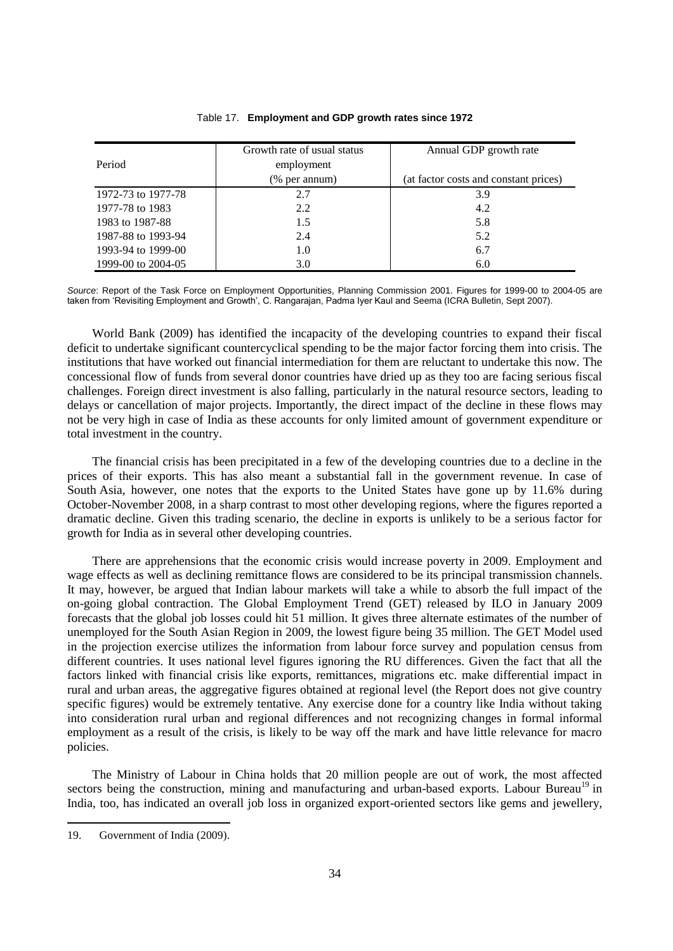|                    | Growth rate of usual status | Annual GDP growth rate                |
|--------------------|-----------------------------|---------------------------------------|
| Period             | employment                  |                                       |
|                    | (% per annum)               | (at factor costs and constant prices) |
| 1972-73 to 1977-78 | 2.7                         | 3.9                                   |
| 1977-78 to 1983    | 2.2                         | 4.2                                   |
| 1983 to 1987-88    | 1.5                         | 5.8                                   |
| 1987-88 to 1993-94 | 2.4                         | 5.2                                   |
| 1993-94 to 1999-00 | 1.0                         | 6.7                                   |
| 1999-00 to 2004-05 | 3.0                         | 6.0                                   |

### Table 17. **Employment and GDP growth rates since 1972**

*Source*: Report of the Task Force on Employment Opportunities, Planning Commission 2001. Figures for 1999-00 to 2004-05 are taken from 'Revisiting Employment and Growth', C. Rangarajan, Padma Iyer Kaul and Seema (ICRA Bulletin, Sept 2007).

World Bank (2009) has identified the incapacity of the developing countries to expand their fiscal deficit to undertake significant countercyclical spending to be the major factor forcing them into crisis. The institutions that have worked out financial intermediation for them are reluctant to undertake this now. The concessional flow of funds from several donor countries have dried up as they too are facing serious fiscal challenges. Foreign direct investment is also falling, particularly in the natural resource sectors, leading to delays or cancellation of major projects. Importantly, the direct impact of the decline in these flows may not be very high in case of India as these accounts for only limited amount of government expenditure or total investment in the country.

The financial crisis has been precipitated in a few of the developing countries due to a decline in the prices of their exports. This has also meant a substantial fall in the government revenue. In case of South Asia, however, one notes that the exports to the United States have gone up by 11.6% during October-November 2008, in a sharp contrast to most other developing regions, where the figures reported a dramatic decline. Given this trading scenario, the decline in exports is unlikely to be a serious factor for growth for India as in several other developing countries.

There are apprehensions that the economic crisis would increase poverty in 2009. Employment and wage effects as well as declining remittance flows are considered to be its principal transmission channels. It may, however, be argued that Indian labour markets will take a while to absorb the full impact of the on-going global contraction. The Global Employment Trend (GET) released by ILO in January 2009 forecasts that the global job losses could hit 51 million. It gives three alternate estimates of the number of unemployed for the South Asian Region in 2009, the lowest figure being 35 million. The GET Model used in the projection exercise utilizes the information from labour force survey and population census from different countries. It uses national level figures ignoring the RU differences. Given the fact that all the factors linked with financial crisis like exports, remittances, migrations etc. make differential impact in rural and urban areas, the aggregative figures obtained at regional level (the Report does not give country specific figures) would be extremely tentative. Any exercise done for a country like India without taking into consideration rural urban and regional differences and not recognizing changes in formal informal employment as a result of the crisis, is likely to be way off the mark and have little relevance for macro policies.

The Ministry of Labour in China holds that 20 million people are out of work, the most affected sectors being the construction, mining and manufacturing and urban-based exports. Labour Bureau<sup>19</sup> in India, too, has indicated an overall job loss in organized export-oriented sectors like gems and jewellery,

<sup>19.</sup> Government of India (2009).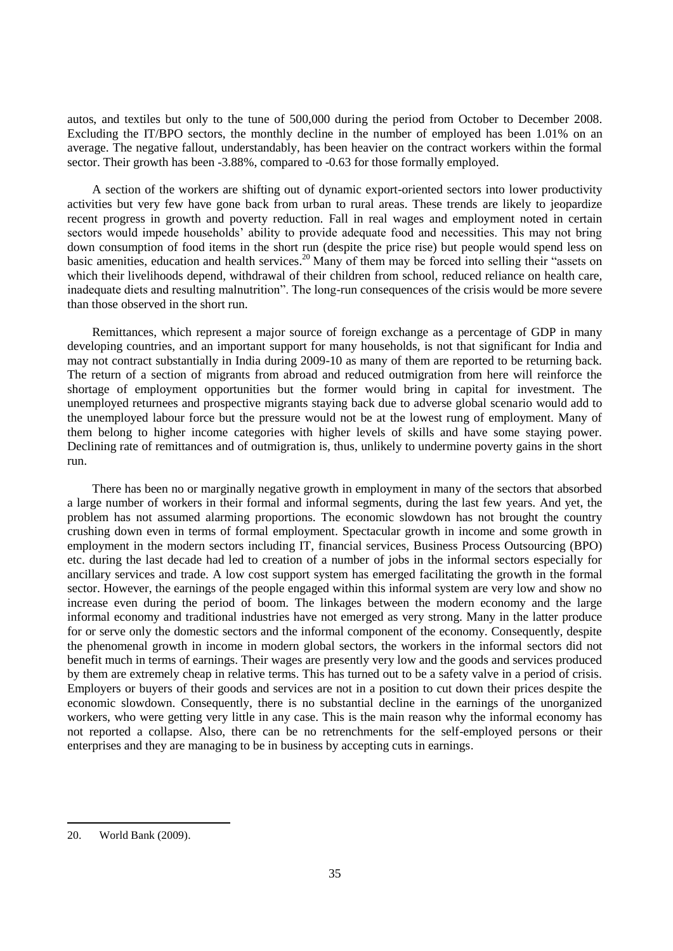autos, and textiles but only to the tune of 500,000 during the period from October to December 2008. Excluding the IT/BPO sectors, the monthly decline in the number of employed has been 1.01% on an average. The negative fallout, understandably, has been heavier on the contract workers within the formal sector. Their growth has been -3.88%, compared to -0.63 for those formally employed.

A section of the workers are shifting out of dynamic export-oriented sectors into lower productivity activities but very few have gone back from urban to rural areas. These trends are likely to jeopardize recent progress in growth and poverty reduction. Fall in real wages and employment noted in certain sectors would impede households" ability to provide adequate food and necessities. This may not bring down consumption of food items in the short run (despite the price rise) but people would spend less on basic amenities, education and health services.<sup>20</sup> Many of them may be forced into selling their "assets on which their livelihoods depend, withdrawal of their children from school, reduced reliance on health care, inadequate diets and resulting malnutrition". The long-run consequences of the crisis would be more severe than those observed in the short run.

Remittances, which represent a major source of foreign exchange as a percentage of GDP in many developing countries, and an important support for many households, is not that significant for India and may not contract substantially in India during 2009-10 as many of them are reported to be returning back. The return of a section of migrants from abroad and reduced outmigration from here will reinforce the shortage of employment opportunities but the former would bring in capital for investment. The unemployed returnees and prospective migrants staying back due to adverse global scenario would add to the unemployed labour force but the pressure would not be at the lowest rung of employment. Many of them belong to higher income categories with higher levels of skills and have some staying power. Declining rate of remittances and of outmigration is, thus, unlikely to undermine poverty gains in the short run.

There has been no or marginally negative growth in employment in many of the sectors that absorbed a large number of workers in their formal and informal segments, during the last few years. And yet, the problem has not assumed alarming proportions. The economic slowdown has not brought the country crushing down even in terms of formal employment. Spectacular growth in income and some growth in employment in the modern sectors including IT, financial services, Business Process Outsourcing (BPO) etc. during the last decade had led to creation of a number of jobs in the informal sectors especially for ancillary services and trade. A low cost support system has emerged facilitating the growth in the formal sector. However, the earnings of the people engaged within this informal system are very low and show no increase even during the period of boom. The linkages between the modern economy and the large informal economy and traditional industries have not emerged as very strong. Many in the latter produce for or serve only the domestic sectors and the informal component of the economy. Consequently, despite the phenomenal growth in income in modern global sectors, the workers in the informal sectors did not benefit much in terms of earnings. Their wages are presently very low and the goods and services produced by them are extremely cheap in relative terms. This has turned out to be a safety valve in a period of crisis. Employers or buyers of their goods and services are not in a position to cut down their prices despite the economic slowdown. Consequently, there is no substantial decline in the earnings of the unorganized workers, who were getting very little in any case. This is the main reason why the informal economy has not reported a collapse. Also, there can be no retrenchments for the self-employed persons or their enterprises and they are managing to be in business by accepting cuts in earnings.

<sup>20.</sup> World Bank (2009).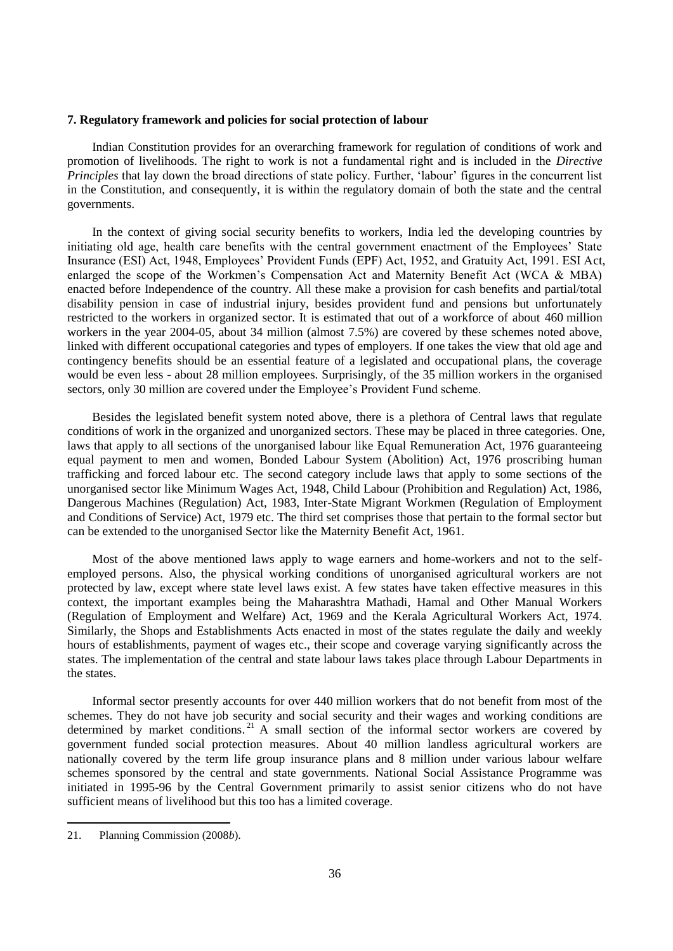### **7. Regulatory framework and policies for social protection of labour**

Indian Constitution provides for an overarching framework for regulation of conditions of work and promotion of livelihoods. The right to work is not a fundamental right and is included in the *Directive Principles* that lay down the broad directions of state policy. Further, 'labour' figures in the concurrent list in the Constitution, and consequently, it is within the regulatory domain of both the state and the central governments.

In the context of giving social security benefits to workers, India led the developing countries by initiating old age, health care benefits with the central government enactment of the Employees' State Insurance (ESI) Act, 1948, Employees" Provident Funds (EPF) Act, 1952, and Gratuity Act, 1991. ESI Act, enlarged the scope of the Workmen"s Compensation Act and Maternity Benefit Act (WCA & MBA) enacted before Independence of the country. All these make a provision for cash benefits and partial/total disability pension in case of industrial injury, besides provident fund and pensions but unfortunately restricted to the workers in organized sector. It is estimated that out of a workforce of about 460 million workers in the year 2004-05, about 34 million (almost 7.5%) are covered by these schemes noted above, linked with different occupational categories and types of employers. If one takes the view that old age and contingency benefits should be an essential feature of a legislated and occupational plans, the coverage would be even less - about 28 million employees. Surprisingly, of the 35 million workers in the organised sectors, only 30 million are covered under the Employee"s Provident Fund scheme.

Besides the legislated benefit system noted above, there is a plethora of Central laws that regulate conditions of work in the organized and unorganized sectors. These may be placed in three categories. One, laws that apply to all sections of the unorganised labour like Equal Remuneration Act, 1976 guaranteeing equal payment to men and women, Bonded Labour System (Abolition) Act, 1976 proscribing human trafficking and forced labour etc. The second category include laws that apply to some sections of the unorganised sector like Minimum Wages Act, 1948, Child Labour (Prohibition and Regulation) Act, 1986, Dangerous Machines (Regulation) Act, 1983, Inter-State Migrant Workmen (Regulation of Employment and Conditions of Service) Act, 1979 etc. The third set comprises those that pertain to the formal sector but can be extended to the unorganised Sector like the Maternity Benefit Act, 1961.

Most of the above mentioned laws apply to wage earners and home-workers and not to the selfemployed persons. Also, the physical working conditions of unorganised agricultural workers are not protected by law, except where state level laws exist. A few states have taken effective measures in this context, the important examples being the Maharashtra Mathadi, Hamal and Other Manual Workers (Regulation of Employment and Welfare) Act, 1969 and the Kerala Agricultural Workers Act, 1974. Similarly, the Shops and Establishments Acts enacted in most of the states regulate the daily and weekly hours of establishments, payment of wages etc., their scope and coverage varying significantly across the states. The implementation of the central and state labour laws takes place through Labour Departments in the states.

Informal sector presently accounts for over 440 million workers that do not benefit from most of the schemes. They do not have job security and social security and their wages and working conditions are determined by market conditions.<sup>21</sup> A small section of the informal sector workers are covered by government funded social protection measures. About 40 million landless agricultural workers are nationally covered by the term life group insurance plans and 8 million under various labour welfare schemes sponsored by the central and state governments. National Social Assistance Programme was initiated in 1995-96 by the Central Government primarily to assist senior citizens who do not have sufficient means of livelihood but this too has a limited coverage.

<sup>21.</sup> Planning Commission (2008*b*).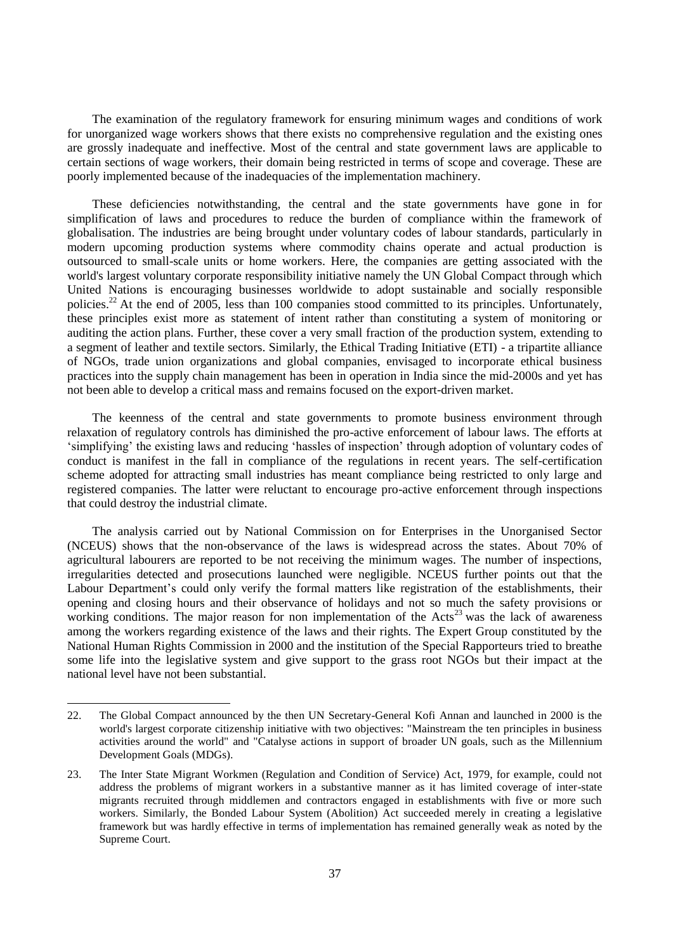The examination of the regulatory framework for ensuring minimum wages and conditions of work for unorganized wage workers shows that there exists no comprehensive regulation and the existing ones are grossly inadequate and ineffective. Most of the central and state government laws are applicable to certain sections of wage workers, their domain being restricted in terms of scope and coverage. These are poorly implemented because of the inadequacies of the implementation machinery.

These deficiencies notwithstanding, the central and the state governments have gone in for simplification of laws and procedures to reduce the burden of compliance within the framework of globalisation. The industries are being brought under voluntary codes of labour standards, particularly in modern upcoming production systems where commodity chains operate and actual production is outsourced to small-scale units or home workers. Here, the companies are getting associated with the world's largest voluntary corporate responsibility initiative namely the UN Global Compact through which United Nations is encouraging businesses worldwide to adopt sustainable and socially responsible policies.<sup>22</sup> At the end of 2005, less than 100 companies stood committed to its principles. Unfortunately, these principles exist more as statement of intent rather than constituting a system of monitoring or auditing the action plans. Further, these cover a very small fraction of the production system, extending to a segment of leather and textile sectors. Similarly, the Ethical Trading Initiative (ETI) - a tripartite alliance of NGOs, trade union organizations and global companies, envisaged to incorporate ethical business practices into the supply chain management has been in operation in India since the mid-2000s and yet has not been able to develop a critical mass and remains focused on the export-driven market.

The keenness of the central and state governments to promote business environment through relaxation of regulatory controls has diminished the pro-active enforcement of labour laws. The efforts at "simplifying" the existing laws and reducing "hassles of inspection" through adoption of voluntary codes of conduct is manifest in the fall in compliance of the regulations in recent years. The self-certification scheme adopted for attracting small industries has meant compliance being restricted to only large and registered companies. The latter were reluctant to encourage pro-active enforcement through inspections that could destroy the industrial climate.

The analysis carried out by National Commission on for Enterprises in the Unorganised Sector (NCEUS) shows that the non-observance of the laws is widespread across the states. About 70% of agricultural labourers are reported to be not receiving the minimum wages. The number of inspections, irregularities detected and prosecutions launched were negligible. NCEUS further points out that the Labour Department's could only verify the formal matters like registration of the establishments, their opening and closing hours and their observance of holidays and not so much the safety provisions or working conditions. The major reason for non implementation of the Acts<sup>23</sup> was the lack of awareness among the workers regarding existence of the laws and their rights. The Expert Group constituted by the National Human Rights Commission in 2000 and the institution of the Special Rapporteurs tried to breathe some life into the legislative system and give support to the grass root NGOs but their impact at the national level have not been substantial.

l

<sup>22.</sup> The Global Compact announced by the then UN Secretary-General [Kofi Annan](http://en.wikipedia.org/wiki/Kofi_Annan) and launched in 2000 is the world's largest [corporate citizenship](http://en.wikipedia.org/w/index.php?title=Corporate_citizenship&action=edit&redlink=1) initiative with two objectives: "Mainstream the ten principles in business activities around the world" and "Catalyse actions in support of broader UN goals, such as the [Millennium](http://en.wikipedia.org/wiki/Millennium_Development_Goals)  [Development Goals](http://en.wikipedia.org/wiki/Millennium_Development_Goals) (MDGs).

<sup>23.</sup> The Inter State Migrant Workmen (Regulation and Condition of Service) Act, 1979, for example, could not address the problems of migrant workers in a substantive manner as it has limited coverage of inter-state migrants recruited through middlemen and contractors engaged in establishments with five or more such workers. Similarly, the Bonded Labour System (Abolition) Act succeeded merely in creating a legislative framework but was hardly effective in terms of implementation has remained generally weak as noted by the Supreme Court.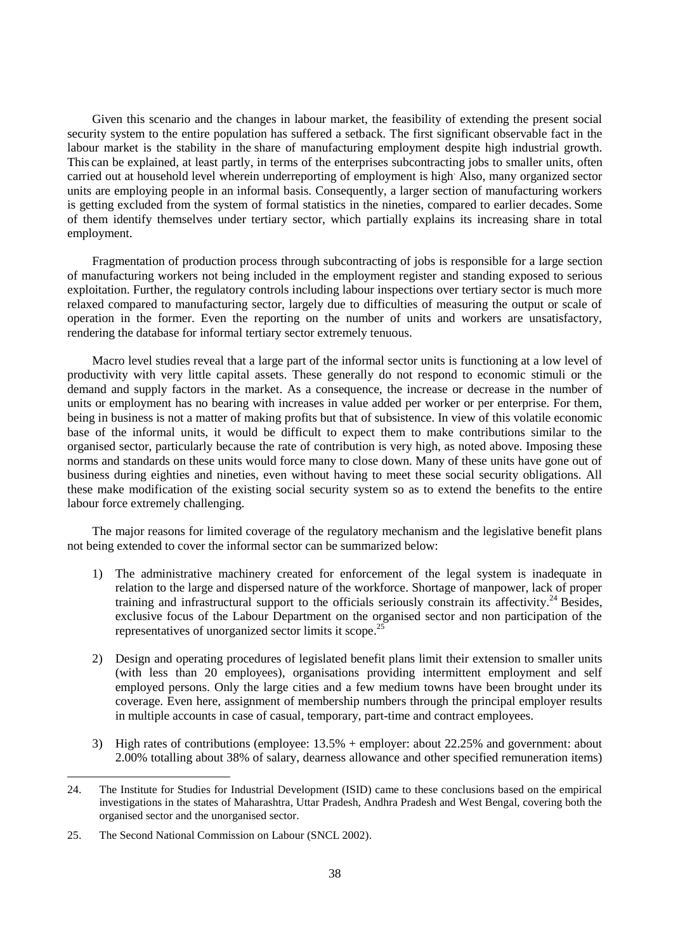Given this scenario and the changes in labour market, the feasibility of extending the present social security system to the entire population has suffered a setback. The first significant observable fact in the labour market is the stability in the share of manufacturing employment despite high industrial growth. This can be explained, at least partly, in terms of the enterprises subcontracting jobs to smaller units, often carried out at household level wherein underreporting of employment is high. Also, many organized sector units are employing people in an informal basis. Consequently, a larger section of manufacturing workers is getting excluded from the system of formal statistics in the nineties, compared to earlier decades. Some of them identify themselves under tertiary sector, which partially explains its increasing share in total employment.

Fragmentation of production process through subcontracting of jobs is responsible for a large section of manufacturing workers not being included in the employment register and standing exposed to serious exploitation. Further, the regulatory controls including labour inspections over tertiary sector is much more relaxed compared to manufacturing sector, largely due to difficulties of measuring the output or scale of operation in the former. Even the reporting on the number of units and workers are unsatisfactory, rendering the database for informal tertiary sector extremely tenuous.

Macro level studies reveal that a large part of the informal sector units is functioning at a low level of productivity with very little capital assets. These generally do not respond to economic stimuli or the demand and supply factors in the market. As a consequence, the increase or decrease in the number of units or employment has no bearing with increases in value added per worker or per enterprise. For them, being in business is not a matter of making profits but that of subsistence. In view of this volatile economic base of the informal units, it would be difficult to expect them to make contributions similar to the organised sector, particularly because the rate of contribution is very high, as noted above. Imposing these norms and standards on these units would force many to close down. Many of these units have gone out of business during eighties and nineties, even without having to meet these social security obligations. All these make modification of the existing social security system so as to extend the benefits to the entire labour force extremely challenging.

The major reasons for limited coverage of the regulatory mechanism and the legislative benefit plans not being extended to cover the informal sector can be summarized below:

- 1) The administrative machinery created for enforcement of the legal system is inadequate in relation to the large and dispersed nature of the workforce. Shortage of manpower, lack of proper training and infrastructural support to the officials seriously constrain its affectivity.<sup>24</sup> Besides, exclusive focus of the Labour Department on the organised sector and non participation of the representatives of unorganized sector limits it scope.<sup>25</sup>
- 2) Design and operating procedures of legislated benefit plans limit their extension to smaller units (with less than 20 employees), organisations providing intermittent employment and self employed persons. Only the large cities and a few medium towns have been brought under its coverage. Even here, assignment of membership numbers through the principal employer results in multiple accounts in case of casual, temporary, part-time and contract employees.
- 3) High rates of contributions (employee: 13.5% + employer: about 22.25% and government: about 2.00% totalling about 38% of salary, dearness allowance and other specified remuneration items)

<sup>24.</sup> The Institute for Studies for Industrial Development (ISID) came to these conclusions based on the empirical investigations in the states of Maharashtra, Uttar Pradesh, Andhra Pradesh and West Bengal, covering both the organised sector and the unorganised sector.

<sup>25.</sup> The Second National Commission on Labour (SNCL 2002).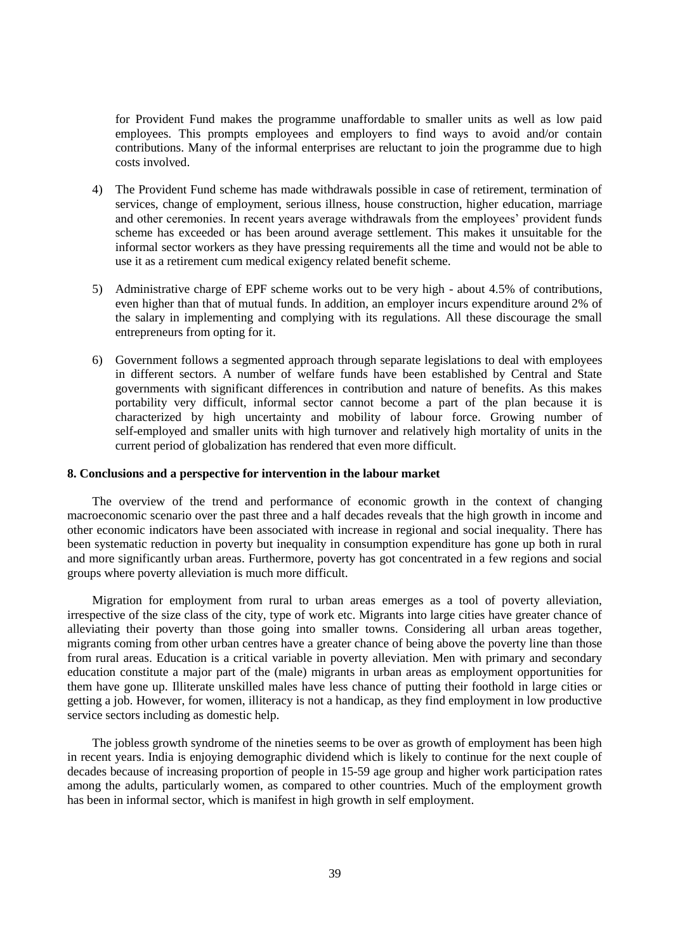for Provident Fund makes the programme unaffordable to smaller units as well as low paid employees. This prompts employees and employers to find ways to avoid and/or contain contributions. Many of the informal enterprises are reluctant to join the programme due to high costs involved.

- 4) The Provident Fund scheme has made withdrawals possible in case of retirement, termination of services, change of employment, serious illness, house construction, higher education, marriage and other ceremonies. In recent years average withdrawals from the employees' provident funds scheme has exceeded or has been around average settlement. This makes it unsuitable for the informal sector workers as they have pressing requirements all the time and would not be able to use it as a retirement cum medical exigency related benefit scheme.
- 5) Administrative charge of EPF scheme works out to be very high about 4.5% of contributions, even higher than that of mutual funds. In addition, an employer incurs expenditure around 2% of the salary in implementing and complying with its regulations. All these discourage the small entrepreneurs from opting for it.
- 6) Government follows a segmented approach through separate legislations to deal with employees in different sectors. A number of welfare funds have been established by Central and State governments with significant differences in contribution and nature of benefits. As this makes portability very difficult, informal sector cannot become a part of the plan because it is characterized by high uncertainty and mobility of labour force. Growing number of self-employed and smaller units with high turnover and relatively high mortality of units in the current period of globalization has rendered that even more difficult.

#### **8. Conclusions and a perspective for intervention in the labour market**

The overview of the trend and performance of economic growth in the context of changing macroeconomic scenario over the past three and a half decades reveals that the high growth in income and other economic indicators have been associated with increase in regional and social inequality. There has been systematic reduction in poverty but inequality in consumption expenditure has gone up both in rural and more significantly urban areas. Furthermore, poverty has got concentrated in a few regions and social groups where poverty alleviation is much more difficult.

Migration for employment from rural to urban areas emerges as a tool of poverty alleviation, irrespective of the size class of the city, type of work etc. Migrants into large cities have greater chance of alleviating their poverty than those going into smaller towns. Considering all urban areas together, migrants coming from other urban centres have a greater chance of being above the poverty line than those from rural areas. Education is a critical variable in poverty alleviation. Men with primary and secondary education constitute a major part of the (male) migrants in urban areas as employment opportunities for them have gone up. Illiterate unskilled males have less chance of putting their foothold in large cities or getting a job. However, for women, illiteracy is not a handicap, as they find employment in low productive service sectors including as domestic help.

The jobless growth syndrome of the nineties seems to be over as growth of employment has been high in recent years. India is enjoying demographic dividend which is likely to continue for the next couple of decades because of increasing proportion of people in 15-59 age group and higher work participation rates among the adults, particularly women, as compared to other countries. Much of the employment growth has been in informal sector, which is manifest in high growth in self employment.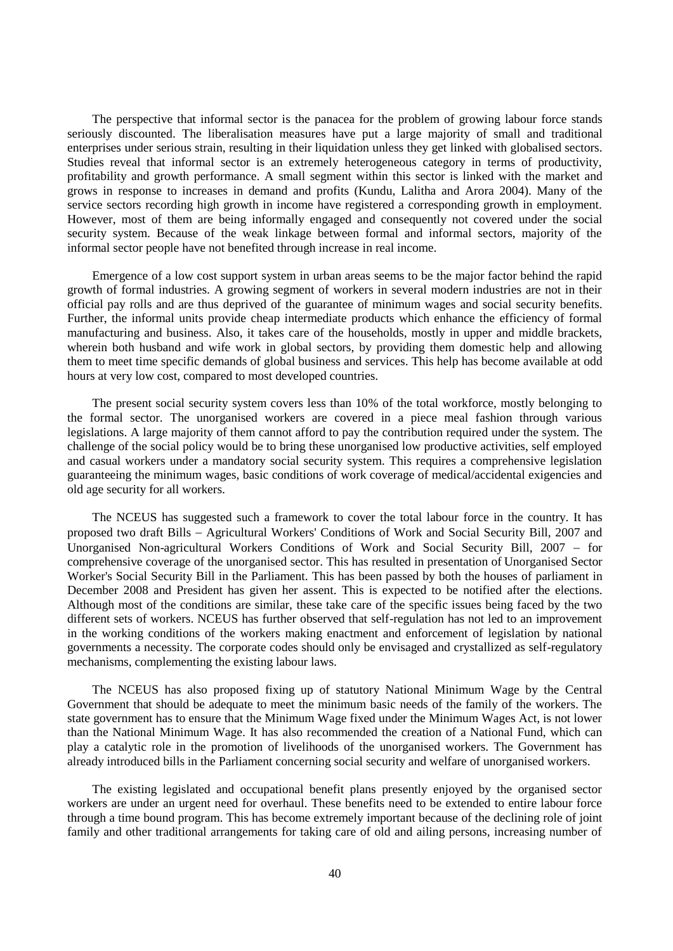The perspective that informal sector is the panacea for the problem of growing labour force stands seriously discounted. The liberalisation measures have put a large majority of small and traditional enterprises under serious strain, resulting in their liquidation unless they get linked with globalised sectors. Studies reveal that informal sector is an extremely heterogeneous category in terms of productivity, profitability and growth performance. A small segment within this sector is linked with the market and grows in response to increases in demand and profits (Kundu, Lalitha and Arora 2004). Many of the service sectors recording high growth in income have registered a corresponding growth in employment. However, most of them are being informally engaged and consequently not covered under the social security system. Because of the weak linkage between formal and informal sectors, majority of the informal sector people have not benefited through increase in real income.

Emergence of a low cost support system in urban areas seems to be the major factor behind the rapid growth of formal industries. A growing segment of workers in several modern industries are not in their official pay rolls and are thus deprived of the guarantee of minimum wages and social security benefits. Further, the informal units provide cheap intermediate products which enhance the efficiency of formal manufacturing and business. Also, it takes care of the households, mostly in upper and middle brackets, wherein both husband and wife work in global sectors, by providing them domestic help and allowing them to meet time specific demands of global business and services. This help has become available at odd hours at very low cost, compared to most developed countries.

The present social security system covers less than 10% of the total workforce, mostly belonging to the formal sector. The unorganised workers are covered in a piece meal fashion through various legislations. A large majority of them cannot afford to pay the contribution required under the system. The challenge of the social policy would be to bring these unorganised low productive activities, self employed and casual workers under a mandatory social security system. This requires a comprehensive legislation guaranteeing the minimum wages, basic conditions of work coverage of medical/accidental exigencies and old age security for all workers.

The NCEUS has suggested such a framework to cover the total labour force in the country. It has proposed two draft Bills Agricultural Workers' Conditions of Work and Social Security Bill, 2007 and Unorganised Non-agricultural Workers Conditions of Work and Social Security Bill, 2007 – for comprehensive coverage of the unorganised sector. This has resulted in presentation of Unorganised Sector Worker's Social Security Bill in the Parliament. This has been passed by both the houses of parliament in December 2008 and President has given her assent. This is expected to be notified after the elections. Although most of the conditions are similar, these take care of the specific issues being faced by the two different sets of workers. NCEUS has further observed that self-regulation has not led to an improvement in the working conditions of the workers making enactment and enforcement of legislation by national governments a necessity. The corporate codes should only be envisaged and crystallized as self-regulatory mechanisms, complementing the existing labour laws.

The NCEUS has also proposed fixing up of statutory National Minimum Wage by the Central Government that should be adequate to meet the minimum basic needs of the family of the workers. The state government has to ensure that the Minimum Wage fixed under the Minimum Wages Act, is not lower than the National Minimum Wage. It has also recommended the creation of a National Fund, which can play a catalytic role in the promotion of livelihoods of the unorganised workers. The Government has already introduced bills in the Parliament concerning social security and welfare of unorganised workers.

The existing legislated and occupational benefit plans presently enjoyed by the organised sector workers are under an urgent need for overhaul. These benefits need to be extended to entire labour force through a time bound program. This has become extremely important because of the declining role of joint family and other traditional arrangements for taking care of old and ailing persons, increasing number of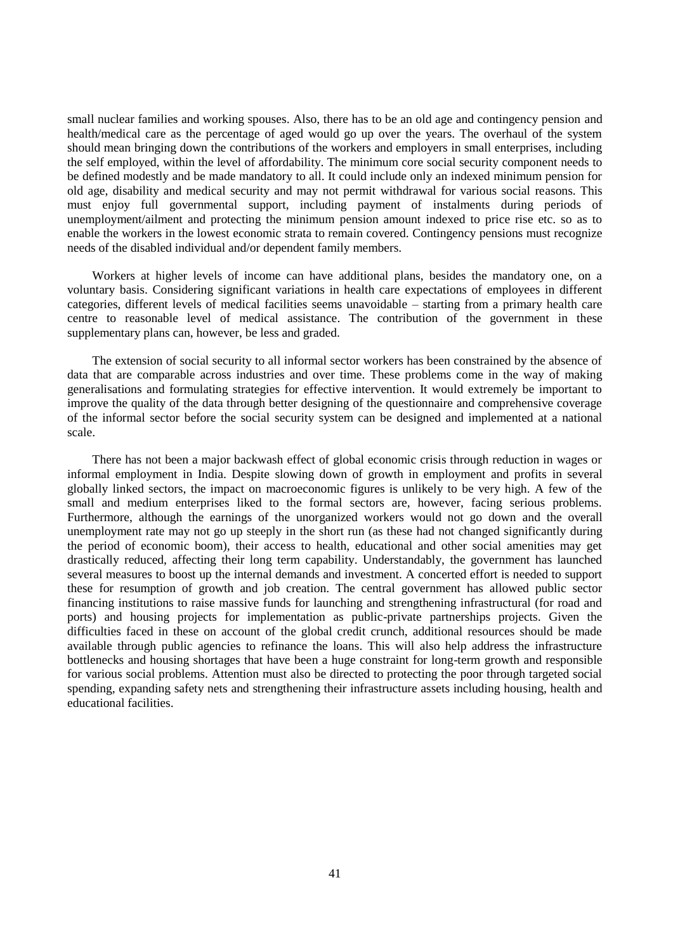small nuclear families and working spouses. Also, there has to be an old age and contingency pension and health/medical care as the percentage of aged would go up over the years. The overhaul of the system should mean bringing down the contributions of the workers and employers in small enterprises, including the self employed, within the level of affordability. The minimum core social security component needs to be defined modestly and be made mandatory to all. It could include only an indexed minimum pension for old age, disability and medical security and may not permit withdrawal for various social reasons. This must enjoy full governmental support, including payment of instalments during periods of unemployment/ailment and protecting the minimum pension amount indexed to price rise etc. so as to enable the workers in the lowest economic strata to remain covered. Contingency pensions must recognize needs of the disabled individual and/or dependent family members.

Workers at higher levels of income can have additional plans, besides the mandatory one, on a voluntary basis. Considering significant variations in health care expectations of employees in different categories, different levels of medical facilities seems unavoidable – starting from a primary health care centre to reasonable level of medical assistance. The contribution of the government in these supplementary plans can, however, be less and graded.

The extension of social security to all informal sector workers has been constrained by the absence of data that are comparable across industries and over time. These problems come in the way of making generalisations and formulating strategies for effective intervention. It would extremely be important to improve the quality of the data through better designing of the questionnaire and comprehensive coverage of the informal sector before the social security system can be designed and implemented at a national scale.

There has not been a major backwash effect of global economic crisis through reduction in wages or informal employment in India. Despite slowing down of growth in employment and profits in several globally linked sectors, the impact on macroeconomic figures is unlikely to be very high. A few of the small and medium enterprises liked to the formal sectors are, however, facing serious problems. Furthermore, although the earnings of the unorganized workers would not go down and the overall unemployment rate may not go up steeply in the short run (as these had not changed significantly during the period of economic boom), their access to health, educational and other social amenities may get drastically reduced, affecting their long term capability. Understandably, the government has launched several measures to boost up the internal demands and investment. A concerted effort is needed to support these for resumption of growth and job creation. The central government has allowed public sector financing institutions to raise massive funds for launching and strengthening infrastructural (for road and ports) and housing projects for implementation as public-private partnerships projects. Given the difficulties faced in these on account of the global credit crunch, additional resources should be made available through public agencies to refinance the loans. This will also help address the infrastructure bottlenecks and housing shortages that have been a huge constraint for long-term growth and responsible for various social problems. Attention must also be directed to protecting the poor through targeted social spending, expanding safety nets and strengthening their infrastructure assets including housing, health and educational facilities.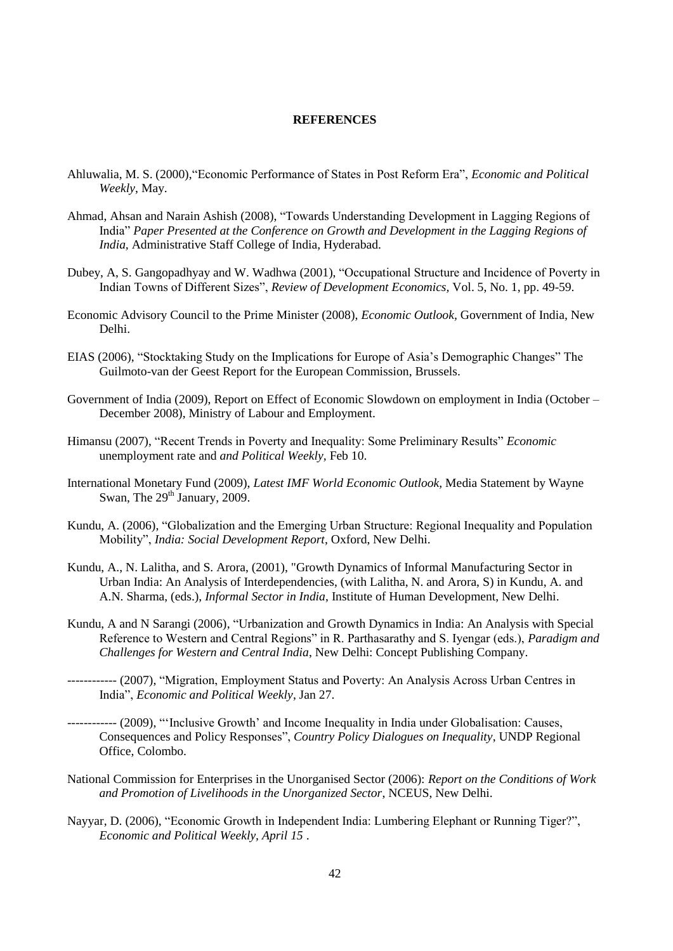## **REFERENCES**

- Ahluwalia, M. S. (2000),"Economic Performance of States in Post Reform Era", *Economic and Political Weekly*, May.
- Ahmad, Ahsan and Narain Ashish (2008), "Towards Understanding Development in Lagging Regions of India" *Paper Presented at the Conference on Growth and Development in the Lagging Regions of India,* Administrative Staff College of India, Hyderabad.
- Dubey, A, S. Gangopadhyay and W. Wadhwa (2001), "Occupational Structure and Incidence of Poverty in Indian Towns of Different Sizes", *Review of Development Economics,* Vol. 5, No. 1, pp. 49-59.
- Economic Advisory Council to the Prime Minister (2008), *Economic Outlook,* Government of India, New Delhi.
- EIAS (2006), "Stocktaking Study on the Implications for Europe of Asia"s Demographic Changes" The Guilmoto-van der Geest Report for the European Commission, Brussels.
- Government of India (2009), Report on Effect of Economic Slowdown on employment in India (October December 2008), Ministry of Labour and Employment.
- Himansu (2007), "Recent Trends in Poverty and Inequality: Some Preliminary Results" *Economic*  unemployment rate and *and Political Weekly,* Feb 10.
- International Monetary Fund (2009), *Latest IMF World Economic Outlook,* Media Statement by Wayne Swan, The  $29<sup>th</sup>$  January, 2009.
- Kundu, A. (2006), "Globalization and the Emerging Urban Structure: Regional Inequality and Population Mobility", *India: Social Development Report*, Oxford, New Delhi.
- Kundu, A., N. Lalitha, and S. Arora, (2001), "Growth Dynamics of Informal Manufacturing Sector in Urban India: An Analysis of Interdependencies, (with Lalitha, N. and Arora, S) in Kundu, A. and A.N. Sharma, (eds.), *Informal Sector in India*, Institute of Human Development, New Delhi.
- Kundu, A and N Sarangi (2006), "Urbanization and Growth Dynamics in India: An Analysis with Special Reference to Western and Central Regions" in R. Parthasarathy and S. Iyengar (eds.), *Paradigm and Challenges for Western and Central India*, New Delhi: Concept Publishing Company.
- ------------ (2007), "Migration, Employment Status and Poverty: An Analysis Across Urban Centres in India", *Economic and Political Weekly*, Jan 27.
- ------------ (2009), ""Inclusive Growth" and Income Inequality in India under Globalisation: Causes, Consequences and Policy Responses", *Country Policy Dialogues on Inequality*, UNDP Regional Office, Colombo.
- National Commission for Enterprises in the Unorganised Sector (2006): *Report on the Conditions of Work and Promotion of Livelihoods in the Unorganized Sector*, NCEUS, New Delhi.
- Nayyar, D. (2006), "Economic Growth in Independent India: Lumbering Elephant or Running Tiger?", *Economic and Political Weekly, April 15* .